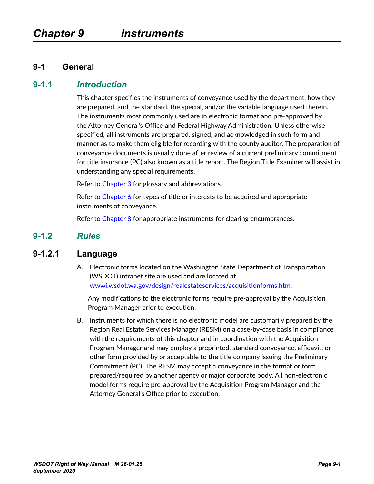#### **9-1 General**

#### **9-1.1** *Introduction*

This chapter specifies the instruments of conveyance used by the department, how they are prepared, and the standard, the special, and/or the variable language used therein. The instruments most commonly used are in electronic format and pre-approved by the Attorney General's Office and Federal Highway Administration. Unless otherwise specified, all instruments are prepared, signed, and acknowledged in such form and manner as to make them eligible for recording with the county auditor. The preparation of conveyance documents is usually done after review of a current preliminary commitment for title insurance (PC) also known as a title report. The Region Title Examiner will assist in understanding any special requirements.

Refer to Chapter 3 for glossary and abbreviations.

Refer to Chapter 6 for types of title or interests to be acquired and appropriate instruments of conveyance.

Refer to Chapter 8 for appropriate instruments for clearing encumbrances.

#### **9-1.2** *Rules*

#### **9-1.2.1 Language**

A. Electronic forms located on the Washington State Department of Transportation (WSDOT) intranet site are used and are located at [wwwi.wsdot.wa.gov/design/realestateservices/acquisitionforms.htm](http://wwwi.wsdot.wa.gov/design/realestateservices/acquisitionforms.htm).

Any modifications to the electronic forms require pre-approval by the Acquisition Program Manager prior to execution.

B. Instruments for which there is no electronic model are customarily prepared by the Region Real Estate Services Manager (RESM) on a case-by-case basis in compliance with the requirements of this chapter and in coordination with the Acquisition Program Manager and may employ a preprinted, standard conveyance, affidavit, or other form provided by or acceptable to the title company issuing the Preliminary Commitment (PC). The RESM may accept a conveyance in the format or form prepared/required by another agency or major corporate body. All non-electronic model forms require pre-approval by the Acquisition Program Manager and the Attorney General's Office prior to execution.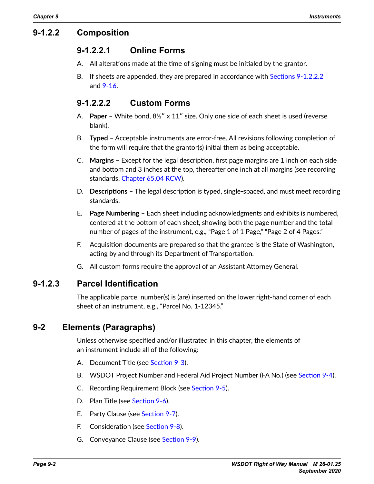# **9-1.2.2 Composition**

## <span id="page-1-1"></span>**9-1.2.2.1 Online Forms**

- A. All alterations made at the time of signing must be initialed by the grantor.
- B. If sheets are appended, they are prepared in accordance with [Sections 9-1.2.2.2](#page-1-0) and [9-16](#page-56-0).

# <span id="page-1-0"></span>**9-1.2.2.2 Custom Forms**

- A. **Paper** White bond, 8½″ x 11″ size. Only one side of each sheet is used (reverse blank).
- B. **Typed** Acceptable instruments are error-free. All revisions following completion of the form will require that the grantor(s) initial them as being acceptable.
- C. **Margins** Except for the legal description, first page margins are 1 inch on each side and bottom and 3 inches at the top, thereafter one inch at all margins (see recording standards, [Chapter 65.04 RCW\)](http://apps.leg.wa.gov/RCW/default.aspx?cite=65.04).
- D. **Descriptions** The legal description is typed, single-spaced, and must meet recording standards.
- E. **Page Numbering** Each sheet including acknowledgments and exhibits is numbered, centered at the bottom of each sheet, showing both the page number and the total number of pages of the instrument, e.g., "Page 1 of 1 Page," "Page 2 of 4 Pages."
- F. Acquisition documents are prepared so that the grantee is the State of Washington, acting by and through its Department of Transportation.
- G. All custom forms require the approval of an Assistant Attorney General.

## **9-1.2.3 Parcel Identification**

The applicable parcel number(s) is (are) inserted on the lower right-hand corner of each sheet of an instrument, e.g., "Parcel No. 1-12345."

# **9-2 Elements (Paragraphs)**

Unless otherwise specified and/or illustrated in this chapter, the elements of an instrument include all of the following:

- A. Document Title (see [Section 9-3](#page-2-0)).
- B. WSDOT Project Number and Federal Aid Project Number (FA No.) (see [Section](#page-2-1) 9-4).
- C. Recording Requirement Block (see [Section 9-5](#page-2-2)).
- D. Plan Title (see [Section 9-6](#page-3-0)).
- E. Party Clause (see [Section 9-7](#page-3-1)).
- F. Consideration (see [Section 9-8](#page-9-0)).
- G. Conveyance Clause (see [Section 9-9](#page-10-0)).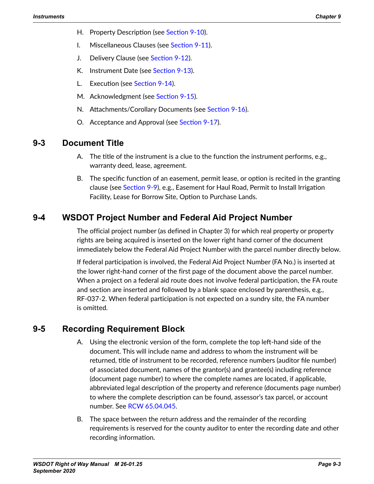- H. Property Description (see [Section 9-10](#page-12-0)).
- I. Miscellaneous Clauses (see [Section 9-11](#page-37-0)).
- J. Delivery Clause (see [Section 9-12](#page-49-0)).
- K. Instrument Date (see [Section 9-13](#page-49-1)).
- L. Execution (see [Section 9-14](#page-50-0)).
- M. Acknowledgment (see [Section 9-15](#page-54-0)).
- N. Attachments/Corollary Documents (see [Section 9-16](#page-56-0)).
- O. Acceptance and Approval (see [Section 9-17](#page-57-0)).

#### **9-3 Document Title**

- <span id="page-2-0"></span>A. The title of the instrument is a clue to the function the instrument performs, e.g., warranty deed, lease, agreement.
- B. The specific function of an easement, permit lease, or option is recited in the granting clause (see [Section 9-9\)](#page-10-0), e.g., Easement for Haul Road, Permit to Install Irrigation Facility, Lease for Borrow Site, Option to Purchase Lands.

# **9-4 WSDOT Project Number and Federal Aid Project Number**

<span id="page-2-1"></span>The official project number (as defined in Chapter 3) for which real property or property rights are being acquired is inserted on the lower right hand corner of the document immediately below the Federal Aid Project Number with the parcel number directly below.

If federal participation is involved, the Federal Aid Project Number (FA No.) is inserted at the lower right-hand corner of the first page of the document above the parcel number. When a project on a federal aid route does not involve federal participation, the FA route and section are inserted and followed by a blank space enclosed by parenthesis, e.g., RF-037-2. When federal participation is not expected on a sundry site, the FA number is omitted.

# **9-5 Recording Requirement Block**

- <span id="page-2-2"></span>A. Using the electronic version of the form, complete the top left-hand side of the document. This will include name and address to whom the instrument will be returned, title of instrument to be recorded, reference numbers (auditor file number) of associated document, names of the grantor(s) and grantee(s) including reference (document page number) to where the complete names are located, if applicable, abbreviated legal description of the property and reference (documents page number) to where the complete description can be found, assessor's tax parcel, or account number. See RCW [65.04.045.](http://apps.leg.wa.gov/RCW/default.aspx?cite=65.04.045)
- B. The space between the return address and the remainder of the recording requirements is reserved for the county auditor to enter the recording date and other recording information.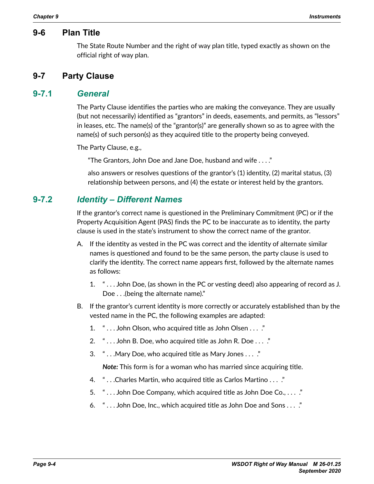#### **9-6 Plan Title**

<span id="page-3-1"></span><span id="page-3-0"></span>The State Route Number and the right of way plan title, typed exactly as shown on the official right of way plan.

#### **9-7 Party Clause**

#### **9-7.1** *General*

The Party Clause identifies the parties who are making the conveyance. They are usually (but not necessarily) identified as "grantors" in deeds, easements, and permits, as "lessors" in leases, etc. The name(s) of the "grantor(s)" are generally shown so as to agree with the name(s) of such person(s) as they acquired title to the property being conveyed.

The Party Clause, e.g.,

"The Grantors, John Doe and Jane Doe, husband and wife . . . ."

also answers or resolves questions of the grantor's (1) identity, (2) marital status, (3) relationship between persons, and (4) the estate or interest held by the grantors.

#### **9-7.2** *Identity – Different Names*

If the grantor's correct name is questioned in the Preliminary Commitment (PC) or if the Property Acquisition Agent (PAS) finds the PC to be inaccurate as to identity, the party clause is used in the state's instrument to show the correct name of the grantor.

- A. If the identity as vested in the PC was correct and the identity of alternate similar names is questioned and found to be the same person, the party clause is used to clarify the identity. The correct name appears first, followed by the alternate names as follows:
	- 1. " . . . John Doe, (as shown in the PC or vesting deed) also appearing of record as J. Doe . . .(being the alternate name)."
- B. If the grantor's current identity is more correctly or accurately established than by the vested name in the PC, the following examples are adapted:
	- 1. " . . . John Olson, who acquired title as John Olsen . . . ."
	- 2. " . . . John B. Doe, who acquired title as John R. Doe . . . ."
	- 3. " . . .Mary Doe, who acquired title as Mary Jones . . . ."

*Note:* This form is for a woman who has married since acquiring title.

- 4. " . . .Charles Martin, who acquired title as Carlos Martino . . . ."
- 5. " . . . John Doe Company, which acquired title as John Doe Co., . . . ."
- 6. " . . . John Doe, Inc., which acquired title as John Doe and Sons . . . ."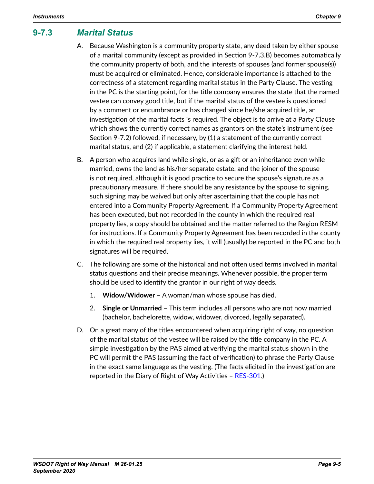# **9-7.3** *Marital Status*

- A. Because Washington is a community property state, any deed taken by either spouse of a marital community (except as provided in Section 9-7.3.B) becomes automatically the community property of both, and the interests of spouses (and former spouse(s)) must be acquired or eliminated. Hence, considerable importance is attached to the correctness of a statement regarding marital status in the Party Clause. The vesting in the PC is the starting point, for the title company ensures the state that the named vestee can convey good title, but if the marital status of the vestee is questioned by a comment or encumbrance or has changed since he/she acquired title, an investigation of the marital facts is required. The object is to arrive at a Party Clause which shows the currently correct names as grantors on the state's instrument (see Section 9-7.2) followed, if necessary, by (1) a statement of the currently correct marital status, and (2) if applicable, a statement clarifying the interest held.
- B. A person who acquires land while single, or as a gift or an inheritance even while married, owns the land as his/her separate estate, and the joiner of the spouse is not required, although it is good practice to secure the spouse's signature as a precautionary measure. If there should be any resistance by the spouse to signing, such signing may be waived but only after ascertaining that the couple has not entered into a Community Property Agreement. If a Community Property Agreement has been executed, but not recorded in the county in which the required real property lies, a copy should be obtained and the matter referred to the Region RESM for instructions. If a Community Property Agreement has been recorded in the county in which the required real property lies, it will (usually) be reported in the PC and both signatures will be required.
- C. The following are some of the historical and not often used terms involved in marital status questions and their precise meanings. Whenever possible, the proper term should be used to identify the grantor in our right of way deeds.
	- 1. **Widow/Widower** A woman/man whose spouse has died.
	- 2. **Single or Unmarried** This term includes all persons who are not now married (bachelor, bachelorette, widow, widower, divorced, legally separated).
- D. On a great many of the titles encountered when acquiring right of way, no question of the marital status of the vestee will be raised by the title company in the PC. A simple investigation by the PAS aimed at verifying the marital status shown in the PC will permit the PAS (assuming the fact of verification) to phrase the Party Clause in the exact same language as the vesting. (The facts elicited in the investigation are reported in the Diary of Right of Way Activities – [RES-301](http://wwwi.wsdot.wa.gov/Design/RealEstateServices/AcquisitionForms.htm).)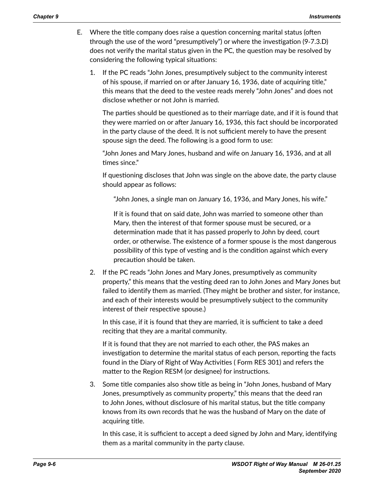- E. Where the title company does raise a question concerning marital status (often through the use of the word "presumptively") or where the investigation (9‑7.3.D) does not verify the marital status given in the PC, the question may be resolved by considering the following typical situations:
	- 1. If the PC reads "John Jones, presumptively subject to the community interest of his spouse, if married on or after January 16, 1936, date of acquiring title," this means that the deed to the vestee reads merely "John Jones" and does not disclose whether or not John is married.

The parties should be questioned as to their marriage date, and if it is found that they were married on or after January 16, 1936, this fact should be incorporated in the party clause of the deed. It is not sufficient merely to have the present spouse sign the deed. The following is a good form to use:

"John Jones and Mary Jones, husband and wife on January 16, 1936, and at all times since."

If questioning discloses that John was single on the above date, the party clause should appear as follows:

"John Jones, a single man on January 16, 1936, and Mary Jones, his wife."

If it is found that on said date, John was married to someone other than Mary, then the interest of that former spouse must be secured, or a determination made that it has passed properly to John by deed, court order, or otherwise. The existence of a former spouse is the most dangerous possibility of this type of vesting and is the condition against which every precaution should be taken.

2. If the PC reads "John Jones and Mary Jones, presumptively as community property," this means that the vesting deed ran to John Jones and Mary Jones but failed to identify them as married. (They might be brother and sister, for instance, and each of their interests would be presumptively subject to the community interest of their respective spouse.)

In this case, if it is found that they are married, it is sufficient to take a deed reciting that they are a marital community.

If it is found that they are not married to each other, the PAS makes an investigation to determine the marital status of each person, reporting the facts found in the Diary of Right of Way Activities ( Form RES 301) and refers the matter to the Region RESM (or designee) for instructions.

3. Some title companies also show title as being in "John Jones, husband of Mary Jones, presumptively as community property," this means that the deed ran to John Jones, without disclosure of his marital status, but the title company knows from its own records that he was the husband of Mary on the date of acquiring title.

In this case, it is sufficient to accept a deed signed by John and Mary, identifying them as a marital community in the party clause.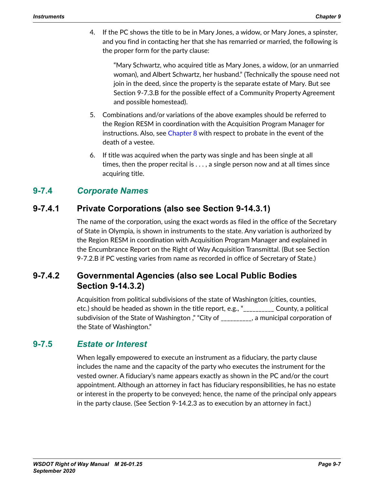4. If the PC shows the title to be in Mary Jones, a widow, or Mary Jones, a spinster, and you find in contacting her that she has remarried or married, the following is the proper form for the party clause:

"Mary Schwartz, who acquired title as Mary Jones, a widow, (or an unmarried woman), and Albert Schwartz, her husband." (Technically the spouse need not join in the deed, since the property is the separate estate of Mary. But see Section 9-7.3.B for the possible effect of a Community Property Agreement and possible homestead).

- 5. Combinations and/or variations of the above examples should be referred to the Region RESM in coordination with the Acquisition Program Manager for instructions. Also, see Chapter 8 with respect to probate in the event of the death of a vestee.
- 6. If title was acquired when the party was single and has been single at all times, then the proper recital is . . . , a single person now and at all times since acquiring title.

# **9-7.4** *Corporate Names*

# **9-7.4.1 Private Corporations (also see Section 9-14.3.1)**

The name of the corporation, using the exact words as filed in the office of the Secretary of State in Olympia, is shown in instruments to the state. Any variation is authorized by the Region RESM in coordination with Acquisition Program Manager and explained in the Encumbrance Report on the Right of Way Acquisition Transmittal. (But see Section 9-7.2.B if PC vesting varies from name as recorded in office of Secretary of State.)

# **9-7.4.2 Governmental Agencies (also see Local Public Bodies Section 9-14.3.2)**

Acquisition from political subdivisions of the state of Washington (cities, counties, etc.) should be headed as shown in the title report, e.g., "\_\_\_\_\_\_\_\_\_\_ County, a political subdivision of the State of Washington," "City of \_\_\_\_\_\_\_\_\_, a municipal corporation of the State of Washington."

## **9-7.5** *Estate or Interest*

When legally empowered to execute an instrument as a fiduciary, the party clause includes the name and the capacity of the party who executes the instrument for the vested owner. A fiduciary's name appears exactly as shown in the PC and/or the court appointment. Although an attorney in fact has fiduciary responsibilities, he has no estate or interest in the property to be conveyed; hence, the name of the principal only appears in the party clause. (See Section 9-14.2.3 as to execution by an attorney in fact.)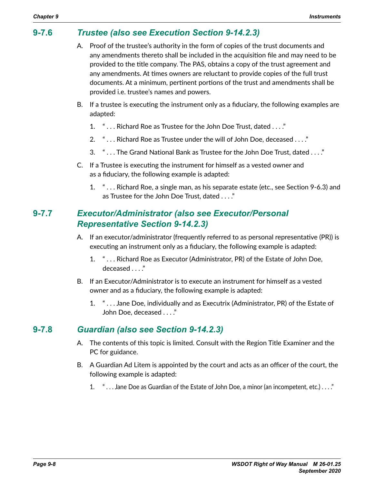# **9-7.6** *Trustee (also see Execution Section 9-14.2.3)*

- A. Proof of the trustee's authority in the form of copies of the trust documents and any amendments thereto shall be included in the acquisition file and may need to be provided to the title company. The PAS, obtains a copy of the trust agreement and any amendments. At times owners are reluctant to provide copies of the full trust documents. At a minimum, pertinent portions of the trust and amendments shall be provided i.e. trustee's names and powers.
- B. If a trustee is executing the instrument only as a fiduciary, the following examples are adapted:
	- 1. " . . . Richard Roe as Trustee for the John Doe Trust, dated . . . ."
	- 2. " . . . Richard Roe as Trustee under the will of John Doe, deceased . . . ."
	- 3. " . . . The Grand National Bank as Trustee for the John Doe Trust, dated . . . ."
- C. If a Trustee is executing the instrument for himself as a vested owner and as a fiduciary, the following example is adapted:
	- 1. " . . . Richard Roe, a single man, as his separate estate (etc., see Section 9-6.3) and as Trustee for the John Doe Trust, dated . . . ."

# **9-7.7** *Executor/Administrator (also see Executor/Personal Representative Section 9-14.2.3)*

- A. If an executor/administrator (frequently referred to as personal representative (PR)) is executing an instrument only as a fiduciary, the following example is adapted:
	- 1. " . . . Richard Roe as Executor (Administrator, PR) of the Estate of John Doe, deceased . . . ."
- B. If an Executor/Administrator is to execute an instrument for himself as a vested owner and as a fiduciary, the following example is adapted:
	- 1. " . . . Jane Doe, individually and as Executrix (Administrator, PR) of the Estate of John Doe, deceased . . . ."

# **9-7.8** *Guardian (also see Section 9-14.2.3)*

- A. The contents of this topic is limited. Consult with the Region Title Examiner and the PC for guidance.
- B. A Guardian Ad Litem is appointed by the court and acts as an officer of the court, the following example is adapted:
	- 1. " . . . Jane Doe as Guardian of the Estate of John Doe, a minor (an incompetent, etc.) . . . ."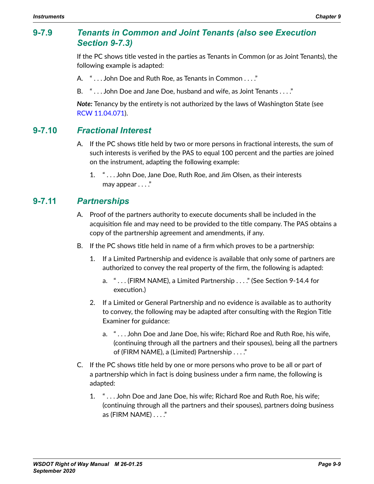#### **9-7.9** *Tenants in Common and Joint Tenants (also see Execution Section 9-7.3)*

If the PC shows title vested in the parties as Tenants in Common (or as Joint Tenants), the following example is adapted:

- A. " . . . John Doe and Ruth Roe, as Tenants in Common . . . ."
- B. " . . . John Doe and Jane Doe, husband and wife, as Joint Tenants . . . ."

*Note:* Tenancy by the entirety is not authorized by the laws of Washington State (see RCW [11.04.071](http://apps.leg.wa.gov/RCW/default.aspx?cite=11.04.071)).

#### **9-7.10** *Fractional Interest*

- A. If the PC shows title held by two or more persons in fractional interests, the sum of such interests is verified by the PAS to equal 100 percent and the parties are joined on the instrument, adapting the following example:
	- 1. " . . . John Doe, Jane Doe, Ruth Roe, and Jim Olsen, as their interests may appear . . . ."

#### **9-7.11** *Partnerships*

- A. Proof of the partners authority to execute documents shall be included in the acquisition file and may need to be provided to the title company. The PAS obtains a copy of the partnership agreement and amendments, if any.
- B. If the PC shows title held in name of a firm which proves to be a partnership:
	- 1. If a Limited Partnership and evidence is available that only some of partners are authorized to convey the real property of the firm, the following is adapted:
		- a. " . . . (FIRM NAME), a Limited Partnership . . . ." (See Section 9-14.4 for execution.)
	- 2. If a Limited or General Partnership and no evidence is available as to authority to convey, the following may be adapted after consulting with the Region Title Examiner for guidance:
		- a. " . . . John Doe and Jane Doe, his wife; Richard Roe and Ruth Roe, his wife, (continuing through all the partners and their spouses), being all the partners of (FIRM NAME), a (Limited) Partnership . . . ."
- C. If the PC shows title held by one or more persons who prove to be all or part of a partnership which in fact is doing business under a firm name, the following is adapted:
	- 1. " . . . John Doe and Jane Doe, his wife; Richard Roe and Ruth Roe, his wife; (continuing through all the partners and their spouses), partners doing business as (FIRM NAME) . . . ."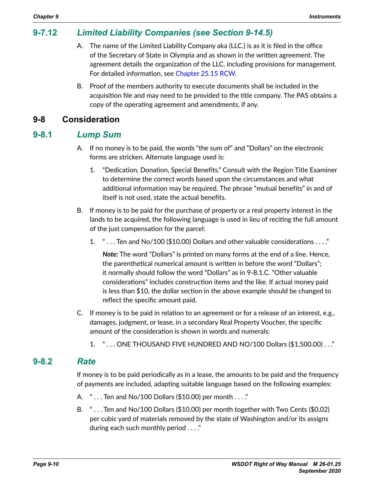# **9-7.12** *Limited Liability Companies (see Section 9-14.5)*

- A. The name of the Limited Liability Company aka (LLC.) is as it is filed in the office of the Secretary of State in Olympia and as shown in the written agreement. The agreement details the organization of the LLC. including provisions for management. For detailed information, see [Chapter](http://apps.leg.wa.gov/RCW/default.aspx?cite=25.15) 25.15 RCW.
- <span id="page-9-0"></span>B. Proof of the members authority to execute documents shall be included in the acquisition file and may need to be provided to the title company. The PAS obtains a copy of the operating agreement and amendments, if any.

#### **9-8 Consideration**

#### **9-8.1** *Lump Sum*

- A. If no money is to be paid, the words "the sum of" and "Dollars" on the electronic forms are stricken. Alternate language used is:
	- 1. "Dedication, Donation, Special Benefits." Consult with the Region Title Examiner to determine the correct words based upon the circumstances and what additional information may be required. The phrase "mutual benefits" in and of itself is not used, state the actual benefits.
- B. If money is to be paid for the purchase of property or a real property interest in the lands to be acquired, the following language is used in lieu of reciting the full amount of the just compensation for the parcel:
	- 1. " . . . Ten and No/100 (\$10.00) Dollars and other valuable considerations . . . ."

*Note:* The word "Dollars" is printed on many forms at the end of a line. Hence, the parenthetical numerical amount is written in before the word "Dollars"; it normally should follow the word "Dollars" as in 9-8.1.C. "Other valuable considerations" includes construction items and the like. If actual money paid is less than \$10, the dollar section in the above example should be changed to reflect the specific amount paid.

- C. If money is to be paid in relation to an agreement or for a release of an interest, e.g., damages, judgment, or lease, in a secondary Real Property Voucher, the specific amount of the consideration is shown in words and numerals:
	- 1. " . . . ONE THOUSAND FIVE HUNDRED AND NO/100 Dollars (\$1,500.00) . . ."

#### **9-8.2** *Rate*

If money is to be paid periodically as in a lease, the amounts to be paid and the frequency of payments are included, adapting suitable language based on the following examples:

- A. "... Ten and No/100 Dollars (\$10.00) per month ...."
- B. " . . . Ten and No/100 Dollars (\$10.00) per month together with Two Cents (\$0.02) per cubic yard of materials removed by the state of Washington and/or its assigns during each such monthly period . . . ."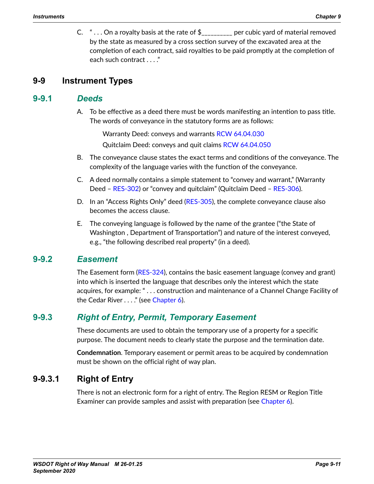C.  $" \ldots$  On a royalty basis at the rate of  $\frac{1}{2}$  \_\_\_\_\_\_\_\_\_ per cubic yard of material removed by the state as measured by a cross section survey of the excavated area at the completion of each contract, said royalties to be paid promptly at the completion of each such contract . . . ."

#### **9-9 Instrument Types**

#### **9-9.1** *Deeds*

<span id="page-10-0"></span>A. To be effective as a deed there must be words manifesting an intention to pass title. The words of conveyance in the statutory forms are as follows:

Warranty Deed: conveys and warrants [RCW 64.04.030](http://apps.leg.wa.gov/RCW/default.aspx?cite=64.04.030)

Quitclaim Deed: conveys and quit claims [RCW 64.04.050](http://apps.leg.wa.gov/RCW/default.aspx?cite=64.04.050)

- B. The conveyance clause states the exact terms and conditions of the conveyance. The complexity of the language varies with the function of the conveyance.
- C. A deed normally contains a simple statement to "convey and warrant," (Warranty Deed – [RES-302\)](http://wwwi.wsdot.wa.gov/Design/RealEstateServices/AcquisitionForms.htm) or "convey and quitclaim" (Quitclaim Deed – [RES-306](http://wwwi.wsdot.wa.gov/Design/RealEstateServices/AcquisitionForms.htm)).
- D. In an "Access Rights Only" deed ([RES-305](http://wwwi.wsdot.wa.gov/Design/RealEstateServices/AcquisitionForms.htm)), the complete conveyance clause also becomes the access clause.
- E. The conveying language is followed by the name of the grantee ("the State of Washington , Department of Transportation") and nature of the interest conveyed, e.g., "the following described real property" (in a deed).

#### **9-9.2** *Easement*

The Easement form ([RES-324](http://wwwi.wsdot.wa.gov/Design/RealEstateServices/AcquisitionForms.htm)), contains the basic easement language (convey and grant) into which is inserted the language that describes only the interest which the state acquires, for example: " . . . construction and maintenance of a Channel Change Facility of the Cedar River . . . ." (see Chapter 6).

# **9-9.3** *Right of Entry, Permit, Temporary Easement*

These documents are used to obtain the temporary use of a property for a specific purpose. The document needs to clearly state the purpose and the termination date.

**Condemnation**. Temporary easement or permit areas to be acquired by condemnation must be shown on the official right of way plan.

## **9-9.3.1 Right of Entry**

There is not an electronic form for a right of entry. The Region RESM or Region Title Examiner can provide samples and assist with preparation (see Chapter 6).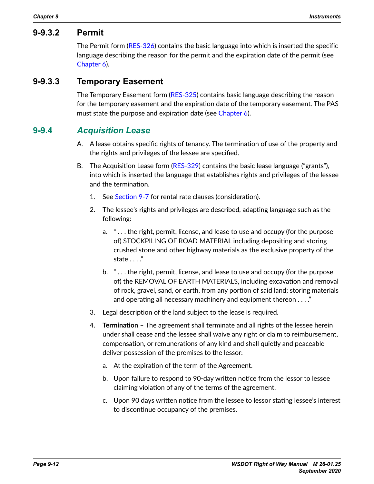#### **9-9.3.2 Permit**

The Permit form ([RES-326](http://wwwi.wsdot.wa.gov/Design/RealEstateServices/AcquisitionForms.htm)) contains the basic language into which is inserted the specific language describing the reason for the permit and the expiration date of the permit (see Chapter 6).

#### **9-9.3.3 Temporary Easement**

The Temporary Easement form ([RES-325](http://wwwi.wsdot.wa.gov/Design/RealEstateServices/AcquisitionForms.htm)) contains basic language describing the reason for the temporary easement and the expiration date of the temporary easement. The PAS must state the purpose and expiration date (see Chapter 6).

#### **9-9.4** *Acquisition Lease*

- A. A lease obtains specific rights of tenancy. The termination of use of the property and the rights and privileges of the lessee are specified.
- B. The Acquisition Lease form [\(RES-329\)](http://wwwi.wsdot.wa.gov/Design/RealEstateServices/AcquisitionForms.htm) contains the basic lease language ("grants"), into which is inserted the language that establishes rights and privileges of the lessee and the termination.
	- 1. See [Section 9-7](#page-3-1) for rental rate clauses (consideration).
	- 2. The lessee's rights and privileges are described, adapting language such as the following:
		- a. " . . . the right, permit, license, and lease to use and occupy (for the purpose of) STOCKPILING OF ROAD MATERIAL including depositing and storing crushed stone and other highway materials as the exclusive property of the state . . . ."
		- b. " . . . the right, permit, license, and lease to use and occupy (for the purpose of) the REMOVAL OF EARTH MATERIALS, including excavation and removal of rock, gravel, sand, or earth, from any portion of said land; storing materials and operating all necessary machinery and equipment thereon . . . ."
	- 3. Legal description of the land subject to the lease is required.
	- 4. **Termination** The agreement shall terminate and all rights of the lessee herein under shall cease and the lessee shall waive any right or claim to reimbursement, compensation, or remunerations of any kind and shall quietly and peaceable deliver possession of the premises to the lessor:
		- a. At the expiration of the term of the Agreement.
		- b. Upon failure to respond to 90-day written notice from the lessor to lessee claiming violation of any of the terms of the agreement.
		- c. Upon 90 days written notice from the lessee to lessor stating lessee's interest to discontinue occupancy of the premises.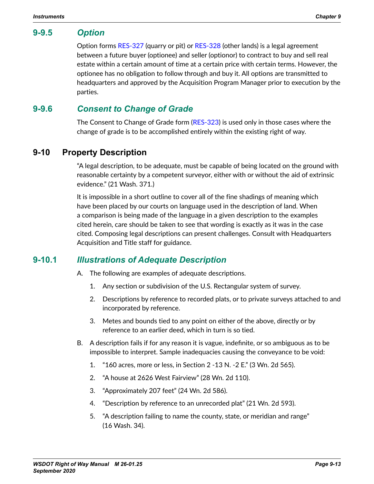#### **9-9.5** *Option*

Option forms [RES-327](http://wwwi.wsdot.wa.gov/Design/RealEstateServices/AcquisitionForms.htm) (quarry or pit) or [RES-328](http://wwwi.wsdot.wa.gov/Design/RealEstateServices/AcquisitionForms.htm) (other lands) is a legal agreement between a future buyer (optionee) and seller (optionor) to contract to buy and sell real estate within a certain amount of time at a certain price with certain terms. However, the optionee has no obligation to follow through and buy it. All options are transmitted to headquarters and approved by the Acquisition Program Manager prior to execution by the parties.

## **9-9.6** *Consent to Change of Grade*

The Consent to Change of Grade form ([RES-323](http://wwwi.wsdot.wa.gov/Design/RealEstateServices/AcquisitionForms.htm)) is used only in those cases where the change of grade is to be accomplished entirely within the existing right of way.

## **9-10 Property Description**

<span id="page-12-0"></span>"A legal description, to be adequate, must be capable of being located on the ground with reasonable certainty by a competent surveyor, either with or without the aid of extrinsic evidence." (21 Wash. 371.)

It is impossible in a short outline to cover all of the fine shadings of meaning which have been placed by our courts on language used in the description of land. When a comparison is being made of the language in a given description to the examples cited herein, care should be taken to see that wording is exactly as it was in the case cited. Composing legal descriptions can present challenges. Consult with Headquarters Acquisition and Title staff for guidance.

## **9-10.1** *Illustrations of Adequate Description*

- A. The following are examples of adequate descriptions.
	- 1. Any section or subdivision of the U.S. Rectangular system of survey.
	- 2. Descriptions by reference to recorded plats, or to private surveys attached to and incorporated by reference.
	- 3. Metes and bounds tied to any point on either of the above, directly or by reference to an earlier deed, which in turn is so tied.
- B. A description fails if for any reason it is vague, indefinite, or so ambiguous as to be impossible to interpret. Sample inadequacies causing the conveyance to be void:
	- 1. "160 acres, more or less, in Section 2 -13 N. -2 E." (3 Wn. 2d 565).
	- 2. "A house at 2626 West Fairview" (28 Wn. 2d 110).
	- 3. "Approximately 207 feet" (24 Wn. 2d 586).
	- 4. "Description by reference to an unrecorded plat" (21 Wn. 2d 593).
	- 5. "A description failing to name the county, state, or meridian and range" (16 Wash. 34).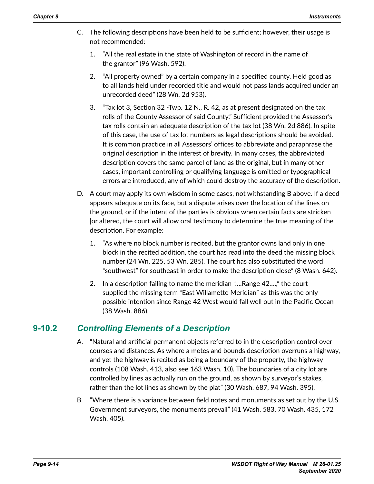- C. The following descriptions have been held to be sufficient; however, their usage is not recommended:
	- 1. "All the real estate in the state of Washington of record in the name of the grantor" (96 Wash. 592).
	- 2. "All property owned" by a certain company in a specified county. Held good as to all lands held under recorded title and would not pass lands acquired under an unrecorded deed" (28 Wn. 2d 953).
	- 3. "Tax lot 3, Section 32 -Twp. 12 N., R. 42, as at present designated on the tax rolls of the County Assessor of said County." Sufficient provided the Assessor's tax rolls contain an adequate description of the tax lot (38 Wn. 2d 886). In spite of this case, the use of tax lot numbers as legal descriptions should be avoided. It is common practice in all Assessors' offices to abbreviate and paraphrase the original description in the interest of brevity. In many cases, the abbreviated description covers the same parcel of land as the original, but in many other cases, important controlling or qualifying language is omitted or typographical errors are introduced, any of which could destroy the accuracy of the description.
- D. A court may apply its own wisdom in some cases, not withstanding B above. If a deed appears adequate on its face, but a dispute arises over the location of the lines on the ground, or if the intent of the parties is obvious when certain facts are stricken |or altered, the court will allow oral testimony to determine the true meaning of the description. For example:
	- 1. "As where no block number is recited, but the grantor owns land only in one block in the recited addition, the court has read into the deed the missing block number (24 Wn. 225, 53 Wn. 285). The court has also substituted the word "southwest" for southeast in order to make the description close" (8 Wash. 642).
	- 2. In a description failing to name the meridian "….Range 42….," the court supplied the missing term "East Willamette Meridian" as this was the only possible intention since Range 42 West would fall well out in the Pacific Ocean (38 Wash. 886).

## **9-10.2** *Controlling Elements of a Description*

- A. "Natural and artificial permanent objects referred to in the description control over courses and distances. As where a metes and bounds description overruns a highway, and yet the highway is recited as being a boundary of the property, the highway controls (108 Wash. 413, also see 163 Wash. 10). The boundaries of a city lot are controlled by lines as actually run on the ground, as shown by surveyor's stakes, rather than the lot lines as shown by the plat" (30 Wash. 687, 94 Wash. 395).
- B. "Where there is a variance between field notes and monuments as set out by the U.S. Government surveyors, the monuments prevail" (41 Wash. 583, 70 Wash. 435, 172 Wash. 405).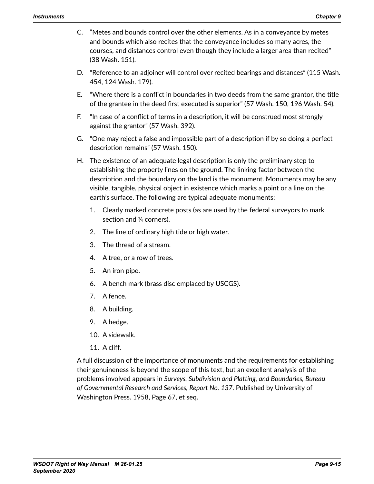- C. "Metes and bounds control over the other elements. As in a conveyance by metes and bounds which also recites that the conveyance includes so many acres, the courses, and distances control even though they include a larger area than recited" (38 Wash. 151).
- D. "Reference to an adjoiner will control over recited bearings and distances" (115 Wash. 454, 124 Wash. 179).
- E. "Where there is a conflict in boundaries in two deeds from the same grantor, the title of the grantee in the deed first executed is superior" (57 Wash. 150, 196 Wash. 54).
- F. "In case of a conflict of terms in a description, it will be construed most strongly against the grantor" (57 Wash. 392).
- G. "One may reject a false and impossible part of a description if by so doing a perfect description remains" (57 Wash. 150).
- H. The existence of an adequate legal description is only the preliminary step to establishing the property lines on the ground. The linking factor between the description and the boundary on the land is the monument. Monuments may be any visible, tangible, physical object in existence which marks a point or a line on the earth's surface. The following are typical adequate monuments:
	- 1. Clearly marked concrete posts (as are used by the federal surveyors to mark section and ¼ corners).
	- 2. The line of ordinary high tide or high water.
	- 3. The thread of a stream.
	- 4. A tree, or a row of trees.
	- 5. An iron pipe.
	- 6. A bench mark (brass disc emplaced by USCGS).
	- 7. A fence.
	- 8. A building.
	- 9. A hedge.
	- 10. A sidewalk.
	- 11. A cliff.

A full discussion of the importance of monuments and the requirements for establishing their genuineness is beyond the scope of this text, but an excellent analysis of the problems involved appears in *Surveys, Subdivision and Platting, and Boundaries, Bureau of Governmental Research and Services, Report No. 137*. Published by University of Washington Press. 1958, Page 67, et seq.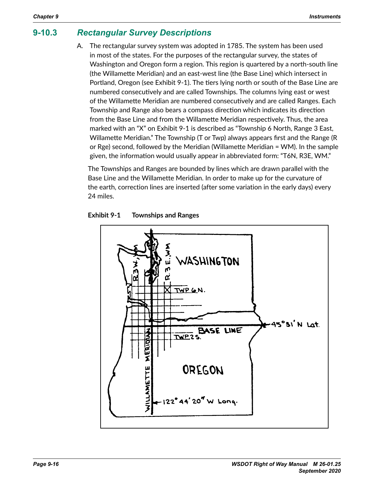#### **9-10.3** *Rectangular Survey Descriptions* **9-10.3**

<span id="page-15-0"></span>A. The rectangular survey system was adopted in 1785. The system has been used in most of the states. For the purposes of the rectangular survey, the states of Washington and Oregon form a region. This region is quartered by a north-south line (the Willamette Meridian) and an east-west line (the Base Line) which intersect in Portland, Oregon (see Exhibit 9-1). The tiers lying north or south of the Base Line are numbered consecutively and are called Townships. The columns lying east or west of the Willamette Meridian are numbered consecutively and are called Ranges. Each The communities is community and are numbered consecutively and are called consecutively and are called Townfrom the Base Line and from the Willamette Meridian respectively. Thus, the area marked with an "X" on Exhibit 9-1 is described as "Township 6 North, Range 3 East, Willamette Meridian." The Township (T or Twp) always appears first and the Range (R or Rge) second, followed by the Meridian (Willamette Meridian = WM). In the sample given, the information would usually appear in abbreviated form: "T6N, R3E, WM."  $\mathbf{S} = \mathbf{S} + \mathbf{S}$  and  $\mathbf{S} = \mathbf{S} + \mathbf{S}$  are numbered Meridian are numbered  $\mathbf{S} = \mathbf{S} + \mathbf{S}$ (R or Rge) second, followed by the Meridian (Willamette Meridian = WM).

The Townships and Ranges are bounded by lines which are drawn parallel with the Base Line and the Willamette Meridian. In order to make up for the curvature of the earth, correction lines are inserted (after some variation in the early days) every 24 miles. with the Base Line and the Willamette Meridian. In order to  $m$ 



#### **Exhibit 9-1 Townships and Ranges**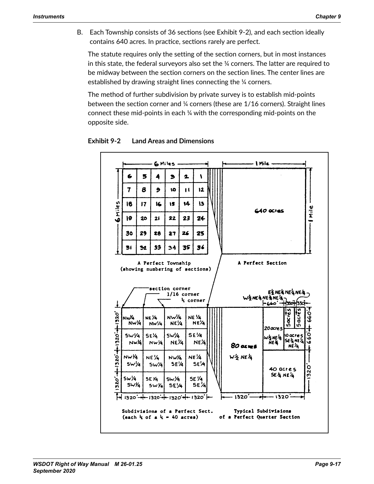B. Each Township consists of 36 sections (see Exhibit 9-2), and each section ideally contains 640 acres. In practice, sections rarely are perfect.

The statute requires only the setting of the section corners, but in most instances in this state, the federal surveyors also set the  $\%$  corners. The latter are required to be midway between the section corners on the section lines. The center lines are established by drawing straight lines connecting the ¼ corners.

The method of further subdivision by private survey is to establish mid-points between the section corner and  $\%$  corners (these are 1/16 corners). Straight lines connect these mid-points in each  $\frac{1}{4}$  with the corresponding mid-points on the  $\frac{1}{4}$ opposite side. instances in this state, the federal surveyors also set the 1/4 corners. The latter thod of further subdivision by private survey is to establish mid-points. between the section corner and 1/4 corners (these are 1/16 corners). Straight lines (these are 1/16 corners). Straight lines (these are 1/16 corners). Straight lines (these are 1/16 corners). Straight lines (the 1/16 corne



**Exhibit 9-2 Land Areas and Dimensions**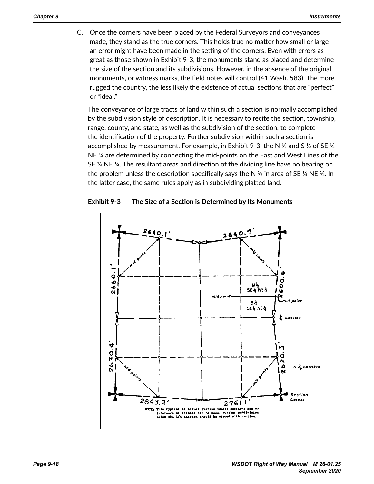C. Once the corners have been placed by the Federal Surveyors and conveyances made, they stand as the true corners. This holds true no matter how small or large an error might have been made in the setting of the corners. Even with errors as mented imgreducts as the corners in the setting of the section is so that survey in the corners of the corners the size of the section and its subdivisions. However, in the absence of the original monuments, or witness marks, the field notes will control (41 Wash. 583). The more rugged the country, the less likely the existence of actual sections that are "perfect" or "ideal."  $\frac{1}{2}$  and  $\frac{1}{2}$  stand as the true correlation as the true no matter holds true no matter holds true no matter how small or  $\frac{1}{2}$  such as the true no matter holds true no matter holds true no matter how small o in the absence of the original monoments, or with  $\mathbf{a}$  monoments, the field notes matrix  $\mathbf{a}$ 

The conveyance of large tracts of land within such a section is normally accomplished by the subdivision style of description. It is necessary to recite the section, township, by the subdivision style of description. It is necessary to recite the section, to with<br>range, county, and state, as well as the subdivision of the section, to complete the identification of the property. Further subdivision within such a section is accomplished by measurement. For example, in Exhibit 9-3, the N  $\%$  and S  $\%$  of SE  $\%$ NE  $\frac{1}{4}$  are determined by connecting the mid-points on the East and West Lines of the SE  $\%$  NE  $\%$ . The resultant areas and direction of the dividing line have no bearing on the problem unless the description specifically says the N  $\frac{\nu}{2}$  in area of SE ¼ NE ¼. In and product and west areas planning position, says are in the marce of our three<br>the latter case, the same rules apply as in subdividing platted land. will control (41 Wn. 583). The more rugged the more rugged the more rugged the country, the less likely the le iveyance of large tracts of land within such a section builty, and state, as well as the subdivision of the section, to complete  $\alpha$  case, are same raies apply as in subdividing platted land.



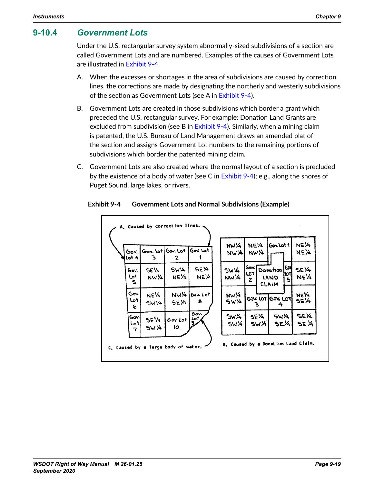#### **9-10.4** *Government Lots*

Under the U.S. rectangular survey system abnormally-sized subdivisions of a section are called Government Lots and are numbered. Examples of the causes of Government Lots are illustrated in [Exhibit 9-4](#page-18-0).

- A. When the excesses or shortages in the area of subdivisions are caused by correction lines, the corrections are made by designating the northerly and westerly subdivisions of the section as Government Lots (see A in [Exhibit 9-4](#page-18-0)).
- B. Government Lots are created in those subdivisions which border a grant which preceded the U.S. rectangular survey. For example: Donation Land Grants are excluded from subdivision (see B in [Exhibit 9-4](#page-18-0)). Similarly, when a mining claim is patented, the U.S. Bureau of Land Management draws an amended plat of the section and assigns Government Lot numbers to the remaining portions of subdivisions which border the patented mining claim.
- C. Government Lots are also created where the normal layout of a section is precluded by the existence of a body of water (see C in [Exhibit 9-4](#page-18-0)); e.g., along the shores of Puget Sound, large lakes, or rivers.

<span id="page-18-0"></span>

#### **Exhibit 9-4 Government Lots and Normal Subdivisions (Example)**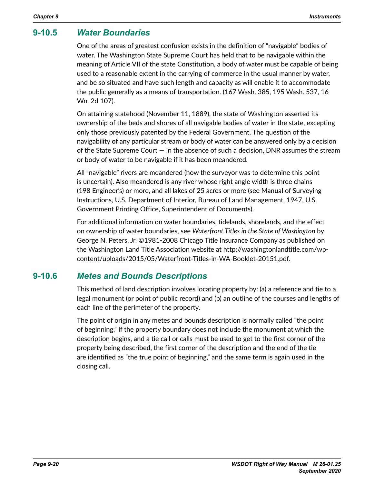# **9-10.5** *Water Boundaries*

One of the areas of greatest confusion exists in the definition of "navigable" bodies of water. The Washington State Supreme Court has held that to be navigable within the meaning of Article VII of the state Constitution, a body of water must be capable of being used to a reasonable extent in the carrying of commerce in the usual manner by water, and be so situated and have such length and capacity as will enable it to accommodate the public generally as a means of transportation. (167 Wash. 385, 195 Wash. 537, 16 Wn. 2d 107).

On attaining statehood (November 11, 1889), the state of Washington asserted its ownership of the beds and shores of all navigable bodies of water in the state, excepting only those previously patented by the Federal Government. The question of the navigability of any particular stream or body of water can be answered only by a decision of the State Supreme Court — in the absence of such a decision, DNR assumes the stream or body of water to be navigable if it has been meandered.

All "navigable" rivers are meandered (how the surveyor was to determine this point is uncertain). Also meandered is any river whose right angle width is three chains (198 Engineer's) or more, and all lakes of 25 acres or more (see Manual of Surveying Instructions, U.S. Department of Interior, Bureau of Land Management, 1947, U.S. Government Printing Office, Superintendent of Documents).

For additional information on water boundaries, tidelands, shorelands, and the effect on ownership of water boundaries, see *Waterfront Titles in the State of Washington* by George N. Peters, Jr. ©1981-2008 Chicago Title Insurance Company as published on the Washington Land Title Association website at http://washingtonlandtitle.com/wpcontent/uploads/2015/05/Waterfront-Titles-in-WA-Booklet-20151.pdf.

## **9-10.6** *Metes and Bounds Descriptions*

This method of land description involves locating property by: (a) a reference and tie to a legal monument (or point of public record) and (b) an outline of the courses and lengths of each line of the perimeter of the property.

The point of origin in any metes and bounds description is normally called "the point of beginning." If the property boundary does not include the monument at which the description begins, and a tie call or calls must be used to get to the first corner of the property being described, the first corner of the description and the end of the tie are identified as "the true point of beginning," and the same term is again used in the closing call.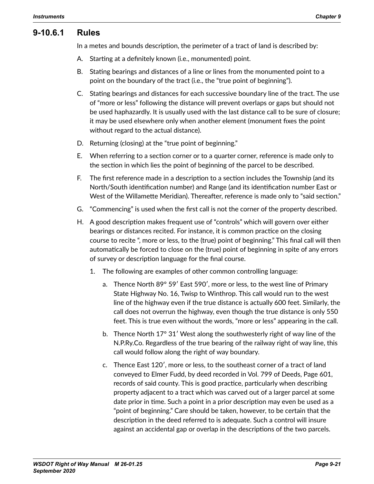#### **9-10.6.1 Rules**

In a metes and bounds description, the perimeter of a tract of land is described by:

- A. Starting at a definitely known (i.e., monumented) point.
- B. Stating bearings and distances of a line or lines from the monumented point to a point on the boundary of the tract (i.e., the "true point of beginning").
- C. Stating bearings and distances for each successive boundary line of the tract. The use of "more or less" following the distance will prevent overlaps or gaps but should not be used haphazardly. It is usually used with the last distance call to be sure of closure; it may be used elsewhere only when another element (monument fixes the point without regard to the actual distance).
- D. Returning (closing) at the "true point of beginning."
- E. When referring to a section corner or to a quarter corner, reference is made only to the section in which lies the point of beginning of the parcel to be described.
- F. The first reference made in a description to a section includes the Township (and its North/South identification number) and Range (and its identification number East or West of the Willamette Meridian). Thereafter, reference is made only to "said section."
- G. "Commencing" is used when the first call is not the corner of the property described.
- H. A good description makes frequent use of "controls" which will govern over either bearings or distances recited. For instance, it is common practice on the closing course to recite ", more or less, to the (true) point of beginning." This final call will then automatically be forced to close on the (true) point of beginning in spite of any errors of survey or description language for the final course.
	- 1. The following are examples of other common controlling language:
		- a. Thence North 89° 59′ East 590′, more or less, to the west line of Primary State Highway No. 16, Twisp to Winthrop. This call would run to the west line of the highway even if the true distance is actually 600 feet. Similarly, the call does not overrun the highway, even though the true distance is only 550 feet. This is true even without the words, "more or less" appearing in the call.
		- b. Thence North 17° 31′ West along the southwesterly right of way line of the N.P.Ry.Co. Regardless of the true bearing of the railway right of way line, this call would follow along the right of way boundary.
		- c. Thence East 120′, more or less, to the southeast corner of a tract of land conveyed to Elmer Fudd, by deed recorded in Vol. 799 of Deeds, Page 601, records of said county. This is good practice, particularly when describing property adjacent to a tract which was carved out of a larger parcel at some date prior in time. Such a point in a prior description may even be used as a "point of beginning." Care should be taken, however, to be certain that the description in the deed referred to is adequate. Such a control will insure against an accidental gap or overlap in the descriptions of the two parcels.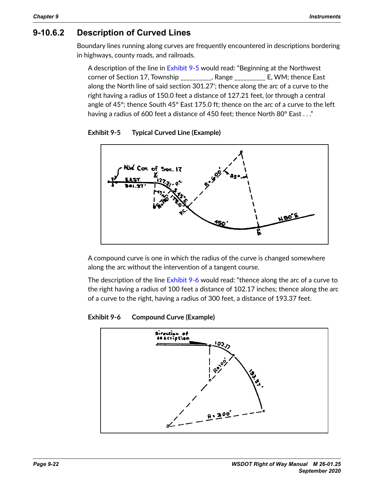# **9-10.6.2 Description of Curved Lines**

Boundary lines running along curves are frequently encountered in descriptions bordering in highways, county roads, and railroads. **9-9.5.2 Description of Curved Lines**

A description of the line in Exhibit 9-5 would read: "Beginning at the Northwest ressemption of the line in Exhibit 7 5 would redd. Beginning at the rest invest<br>corner of Section 17, Township \_\_\_\_\_\_\_\_\_\_, Range \_\_\_\_\_\_\_\_\_\_ E, WM; thence East along the North line of said section 301.27'; thence along the arc of a curve to the  $\widetilde{\mathsf{right}}$  having a radius of 150.0 feet a distance of 127.21 feet, (or through a central angle of 45°; thence South 45° East 175.0 ft; thence on the arc of a curve to the left having a radius of 600 feet a distance of 450 feet; thence North 80° East  $\ldots$  ."  $\alpha$  radius of 600 feet a distance of 450 feet; thence North 80° East  $\dots$ border in the highest county  $\frac{1}{2}$  roads  $\frac{1}{2}$  railroads.  $\frac{4}{3}$ , thence South  $\frac{4}{3}$  Last 175.0 it, thence of the arc of a curve to the



<span id="page-21-0"></span>

 $\frac{1}{2}$  which the radius of the curve is A compound curve is one in which the radius of the curve is changed somewhere  $\mathcal{L}$  compound curve is one in which the curve is changed in which the curve is changed in  $\mathcal{L}$ along the arc without the intervention of a tangent course.

The description of the line [Exhibit 9-6](#page-21-1) would read: "thence along the arc of a curve to the right having a radius of 100 feet a distance of 102.17 inches; thence along the arc of a curve to the right, having a radius of 300 feet, a distance of 193.37 feet.

#### $bit$  9-6 **Exhibit 9-6 Compound Curve (Example)**

<span id="page-21-1"></span>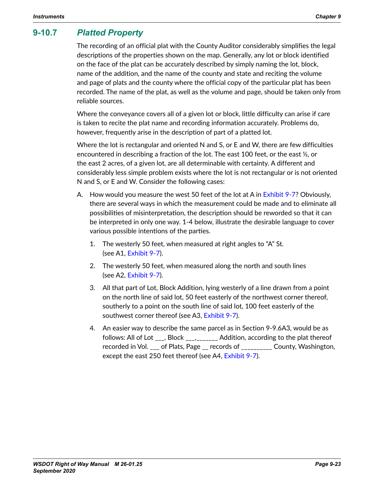# **9-10.7** *Platted Property*

The recording of an official plat with the County Auditor considerably simplifies the legal descriptions of the properties shown on the map. Generally, any lot or block identified on the face of the plat can be accurately described by simply naming the lot, block, name of the addition, and the name of the county and state and reciting the volume and page of plats and the county where the official copy of the particular plat has been recorded. The name of the plat, as well as the volume and page, should be taken only from reliable sources.

Where the conveyance covers all of a given lot or block, little difficulty can arise if care is taken to recite the plat name and recording information accurately. Problems do, however, frequently arise in the description of part of a platted lot.

Where the lot is rectangular and oriented N and S, or E and W, there are few difficulties encountered in describing a fraction of the lot. The east 100 feet, or the east  $\mathcal{Y}_2$ , or the east 2 acres, of a given lot, are all determinable with certainty. A different and considerably less simple problem exists where the lot is not rectangular or is not oriented N and S, or E and W. Consider the following cases:

- A. How would you measure the west 50 feet of the lot at A in [Exhibit 9-7](#page-23-0)? Obviously, there are several ways in which the measurement could be made and to eliminate all possibilities of misinterpretation, the description should be reworded so that it can be interpreted in only one way. 1-4 below, illustrate the desirable language to cover various possible intentions of the parties.
	- 1. The westerly 50 feet, when measured at right angles to "A" St. (see A1, [Exhibit 9-7](#page-23-0)).
	- 2. The westerly 50 feet, when measured along the north and south lines (see A2, [Exhibit 9-7](#page-23-0)).
	- 3. All that part of Lot, Block Addition, lying westerly of a line drawn from a point on the north line of said lot, 50 feet easterly of the northwest corner thereof, southerly to a point on the south line of said lot, 100 feet easterly of the southwest corner thereof (see A3, [Exhibit 9-7](#page-23-0)).
	- 4. An easier way to describe the same parcel as in Section 9-9.6A3, would be as follows: All of Lot \_\_\_, Block \_\_\_,\_\_\_\_\_\_\_ Addition, according to the plat thereof recorded in Vol. \_\_\_ of Plats, Page \_\_ records of \_\_\_\_\_\_\_\_\_\_ County, Washington, except the east 250 feet thereof (see A4, [Exhibit 9-7](#page-23-0)).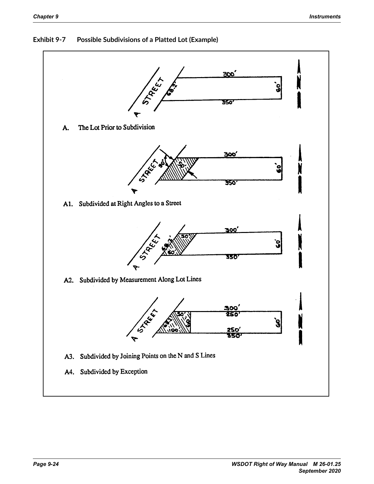

<span id="page-23-0"></span>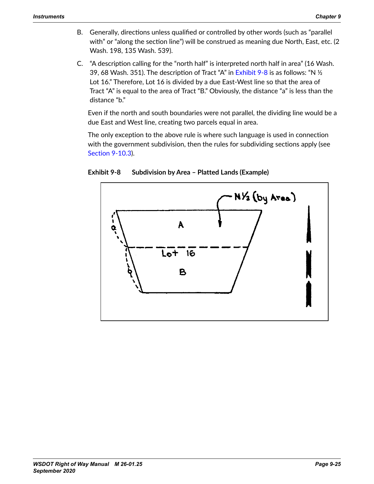**Instruments**

- B. Generally, directions unless qualified or controlled by other words (such as "parallel with" or "along the section line") will be construed as meaning due North, East, etc. (2 B. Generally, directions unless qualified or controlled by other words (such as Wash. 198, 135 Wash. 539).
- C. "A description calling for the "north half" is interpreted north half in area" (16 Wash. 39, 68 Wash. 351). The description of Tract "A" in <mark>Exhibit 9-8</mark> is as follows: "N ½ Lot 16." Therefore, Lot 16 is divided by a due East-West line so that the area of Tract "A" is equal to the area of Tract "B." Obviously, the distance "a" is less than the distance "b."  $\mathsf{P} \mathsf{P} \mathsf{P}'$  in Figure 9.6  $\mathsf{P}'$  is as follows: "N  $\mathsf{P} \mathsf{P}'$  Lot 16."

Even if the north and south boundaries were not parallel, the dividing line would be a due East and West line, creating two parcels equal in area. The florth and South boundanes were not parallel, the dividing line would

The only exception to the above rule is where such language is used in connection with the government subdivision, then the rules for subdividing sections apply (see [Section 9-10.3](#page-15-0)).  $9-10.3$ ).

<span id="page-24-0"></span>

Exhibit 9-8 Subdivision by Area - Platted Lands (Example)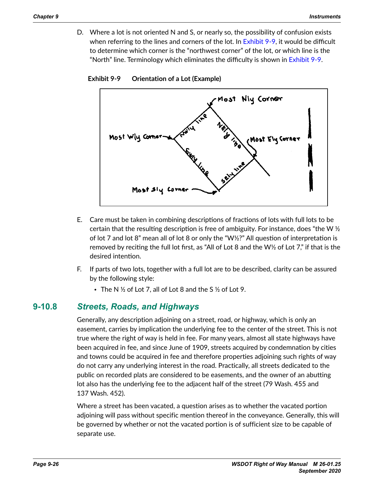D. Where a lot is not oriented N and S, or nearly so, the possibility of confusion exists when referring to the lines and corners of the lot. In [Exhibit 9-9](#page-25-0), it would be difficult to determine which corner is the "northwest corner" of the lot, or which line is the "North" line. Terminology which eliminates the difficulty is shown in [Exhibit 9-9](#page-25-0).

<span id="page-25-0"></span>

**Exhibit 9-9 Orientation of a Lot (Example)**

- **Orientation of a Lot (Example) Figure 9-9.6D** E. Care must be taken in combining descriptions of fractions of lots with full lots to be E. Care must be taken in computer in computer in combining descriptions of intermediate  $\mathbb{E}[X]$ of lot 7 and lot 8" mean all of lot 8 or only the "W½?" All question of interpretation is  $\sim$ removed by reciting the full lot first, as "All of Lot 8 and the W½ of Lot 7," if that is the  $\blacksquare$  intention. certain that the resulting description is free of ambiguity. For instance, does "the W $\frac{1}{2}$ desired intention.
- F. If parts of two lots, together with a full lot are to be described, clarity can be assured  $\mathsf b\mathsf y$  the following style:  $\mathsf b\mathsf y$ 
	- The N  $\frac{1}{2}$  of Lot 7, all of Lot 8 and the S  $\frac{1}{2}$  of Lot 9.

# **9-9.7 Streets, Roads, and Highways 9-10.8** *Streets, Roads, and Highways*

Generally, any description adjoining on a street, road, or highway, which is only Generally, any description adjoining on a street, road, or highway, which is only an easement, carries by implication the underlying fee to the center of the street. This is not true where the right of way is held in fee. For many years, almost all state highways have been acquired in fee, and since June of 1909, streets acquired by condemnation by cities pan out in focyand since sum of 1999, service acquired by condemnation by or and towns could be acquired in fee and therefore properties adjoining such rights of way<br>. do not carry any underlying interest in the road. Practically, all streets dedicated to the public on recorded plats are considered to be easements, and the owner of an abutting lot also has the underlying fee to the adjacent half of the street (79 Wash. 455 and  $\mathsf{S}$ n. 452).  $\mathsf{S}$ 137 Wash. 452).

Where a street has been vacated, a question arises as to whether the vacated portion  $\sigma$  will pees without coositic mention thereof in the conveyance Conerally to adjoining will pass without specific mention thereof in the conveyance. Generally, this will<br>. If the vacated land is a narrow adjacent strip, as where an  $80-6$  foot street is as where an  $80-6$ be governed by whether or not the vacated portion is of sufficient size to be capable of separate use.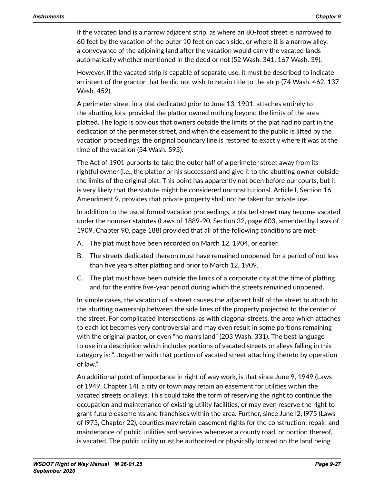If the vacated land is a narrow adjacent strip, as where an 80-foot street is narrowed to 60 feet by the vacation of the outer 10 feet on each side, or where it is a narrow alley, a conveyance of the adjoining land after the vacation would carry the vacated lands automatically whether mentioned in the deed or not (52 Wash. 341, 167 Wash. 39).

However, if the vacated strip is capable of separate use, it must be described to indicate an intent of the grantor that he did not wish to retain title to the strip (74 Wash. 462, 137 Wash. 452).

A perimeter street in a plat dedicated prior to June 13, 1901, attaches entirely to the abutting lots, provided the plattor owned nothing beyond the limits of the area platted. The logic is obvious that owners outside the limits of the plat had no part in the dedication of the perimeter street, and when the easement to the public is lifted by the vacation proceedings, the original boundary line is restored to exactly where it was at the time of the vacation (54 Wash. 595).

The Act of 1901 purports to take the outer half of a perimeter street away from its rightful owner (i.e., the plattor or his successors) and give it to the abutting owner outside the limits of the original plat. This point has apparently not been before our courts, but it is very likely that the statute might be considered unconstitutional. Article I, Section 16, Amendment 9, provides that private property shall not be taken for private use.

In addition to the usual formal vacation proceedings, a platted street may become vacated under the nonuser statutes (Laws of 1889-90, Section 32, page 603, amended by Laws of 1909, Chapter 90, page 188) provided that all of the following conditions are met:

- A. The plat must have been recorded on March 12, 1904, or earlier.
- B. The streets dedicated thereon must have remained unopened for a period of not less than five years after platting and prior to March 12, 1909.
- C. The plat must have been outside the limits of a corporate city at the time of platting and for the entire five-year period during which the streets remained unopened.

In simple cases, the vacation of a street causes the adjacent half of the street to attach to the abutting ownership between the side lines of the property projected to the center of the street. For complicated intersections, as with diagonal streets, the area which attaches to each lot becomes very controversial and may even result in some portions remaining with the original plattor, or even "no man's land" (203 Wash. 331). The best language to use in a description which includes portions of vacated streets or alleys falling in this category is: "...together with that portion of vacated street attaching thereto by operation of law."

An additional point of importance in right of way work, is that since June 9, 1949 (Laws of 1949, Chapter 14), a city or town may retain an easement for utilities within the vacated streets or alleys. This could take the form of reserving the right to continue the occupation and maintenance of existing utility facilities, or may even reserve the right to grant future easements and franchises within the area. Further, since June l2, l975 (Laws of l975, Chapter 22), counties may retain easement rights for the construction, repair, and maintenance of public utilities and services whenever a county road, or portion thereof, is vacated. The public utility must be authorized or physically located on the land being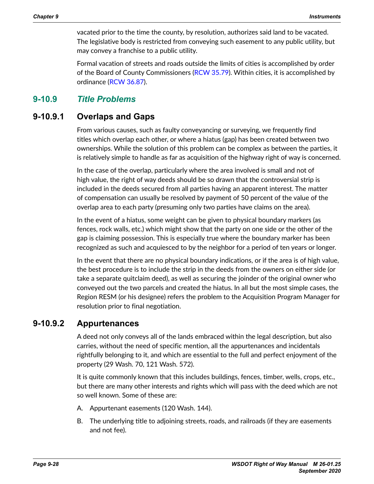vacated prior to the time the county, by resolution, authorizes said land to be vacated. The legislative body is restricted from conveying such easement to any public utility, but may convey a franchise to a public utility.

Formal vacation of streets and roads outside the limits of cities is accomplished by order of the Board of County Commissioners ([RCW 35.79](http://apps.leg.wa.gov/RCW/default.aspx?cite=35.79)). Within cities, it is accomplished by ordinance ([RCW 36.87](http://apps.leg.wa.gov/RCW/default.aspx?cite=36.87)).

# **9-10.9** *Title Problems*

#### **9-10.9.1 Overlaps and Gaps**

From various causes, such as faulty conveyancing or surveying, we frequently find titles which overlap each other, or where a hiatus (gap) has been created between two ownerships. While the solution of this problem can be complex as between the parties, it is relatively simple to handle as far as acquisition of the highway right of way is concerned.

In the case of the overlap, particularly where the area involved is small and not of high value, the right of way deeds should be so drawn that the controversial strip is included in the deeds secured from all parties having an apparent interest. The matter of compensation can usually be resolved by payment of 50 percent of the value of the overlap area to each party (presuming only two parties have claims on the area).

In the event of a hiatus, some weight can be given to physical boundary markers (as fences, rock walls, etc.) which might show that the party on one side or the other of the gap is claiming possession. This is especially true where the boundary marker has been recognized as such and acquiesced to by the neighbor for a period of ten years or longer.

In the event that there are no physical boundary indications, or if the area is of high value, the best procedure is to include the strip in the deeds from the owners on either side (or take a separate quitclaim deed), as well as securing the joinder of the original owner who conveyed out the two parcels and created the hiatus. In all but the most simple cases, the Region RESM (or his designee) refers the problem to the Acquisition Program Manager for resolution prior to final negotiation.

#### **9-10.9.2 Appurtenances**

A deed not only conveys all of the lands embraced within the legal description, but also carries, without the need of specific mention, all the appurtenances and incidentals rightfully belonging to it, and which are essential to the full and perfect enjoyment of the property (29 Wash. 70, 121 Wash. 572).

It is quite commonly known that this includes buildings, fences, timber, wells, crops, etc., but there are many other interests and rights which will pass with the deed which are not so well known. Some of these are:

- A. Appurtenant easements (120 Wash. 144).
- B. The underlying title to adjoining streets, roads, and railroads (if they are easements and not fee).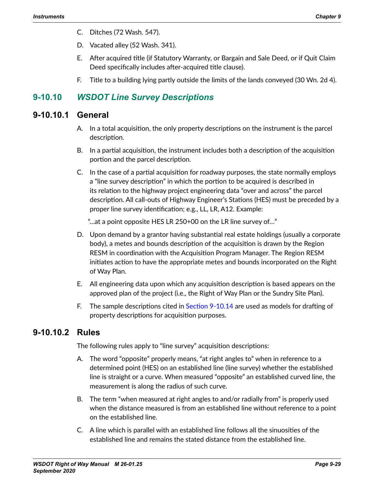- C. Ditches (72 Wash. 547).
- D. Vacated alley (52 Wash. 341).
- E. After acquired title (if Statutory Warranty, or Bargain and Sale Deed, or if Quit Claim Deed specifically includes after-acquired title clause).
- F. Title to a building lying partly outside the limits of the lands conveyed (30 Wn. 2d 4).

# **9-10.10** *WSDOT Line Survey Descriptions*

#### **9-10.10.1 General**

- A. In a total acquisition, the only property descriptions on the instrument is the parcel description.
- B. In a partial acquisition, the instrument includes both a description of the acquisition portion and the parcel description.
- C. In the case of a partial acquisition for roadway purposes, the state normally employs a "line survey description" in which the portion to be acquired is described in its relation to the highway project engineering data "over and across" the parcel description. All call-outs of Highway Engineer's Stations (HES) must be preceded by a proper line survey identification; e.g., LL, LR, A12. Example:

"…at a point opposite HES LR 250+00 on the LR line survey of…"

- D. Upon demand by a grantor having substantial real estate holdings (usually a corporate body), a metes and bounds description of the acquisition is drawn by the Region RESM in coordination with the Acquisition Program Manager. The Region RESM initiates action to have the appropriate metes and bounds incorporated on the Right of Way Plan.
- E. All engineering data upon which any acquisition description is based appears on the approved plan of the project (i.e., the Right of Way Plan or the Sundry Site Plan).
- F. The sample descriptions cited in [Section 9-10.14](#page-32-0) are used as models for drafting of property descriptions for acquisition purposes.

## **9-10.10.2 Rules**

The following rules apply to "line survey" acquisition descriptions:

- A. The word "opposite" properly means, "at right angles to" when in reference to a determined point (HES) on an established line (line survey) whether the established line is straight or a curve. When measured "opposite" an established curved line, the measurement is along the radius of such curve.
- B. The term "when measured at right angles to and/or radially from" is properly used when the distance measured is from an established line without reference to a point on the established line.
- C. A line which is parallel with an established line follows all the sinuosities of the established line and remains the stated distance from the established line.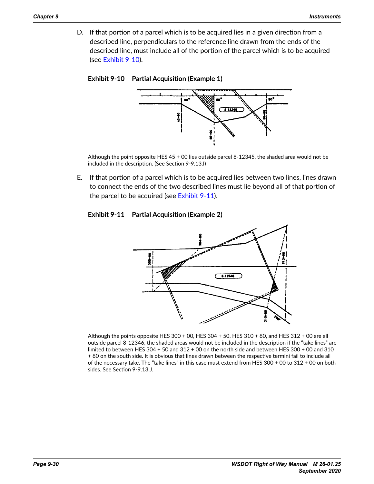D. If that portion of a parcel which is to be acquired lies in a given direction from a described line, perpendiculars to the reference line drawn from the ends of the described line, must include all of the portion of the parcel which is to be acquired (see [Exhibit 9-10](#page-29-0)).



<span id="page-29-0"></span>

Although the point opposite HES 45 + 00 lies outside parcel 8-12345, the shaded area would not be included in the description. (See Section 9-9.13.I)

the parcel to be acquired (see [Exhibit 9-11](#page-29-1)). **Figure 9-9.9.2D** E. If that portion of a parcel which is to be acquired lies between two lines, lines drawn to connect the ends of the two described lines must lie beyond all of that portion of

# E. If that portion of a parcel which is to be acquired lies between two lines, lines **Exhibit 9-11 Partial Acquisition (Example 2)**

<span id="page-29-1"></span>

Although the points opposite HES 300 + 00, HES 304 + 50, HES 310 + 80, and HES 312 + 00 are all outside parcel 8-12346, the shaded areas would not be included in the description if the "take lines" are limited to between HES 304 + 50 and 312 + 00 on the north side and between HES 300 + 00 and 310 + 80 on the south side. It is obvious that lines drawn between the respective termini fail to include all of the necessary take. The "take lines" in this case must extend from HES 300 + 00 to 312 + 00 on both sides. See Section 9-9.13.J.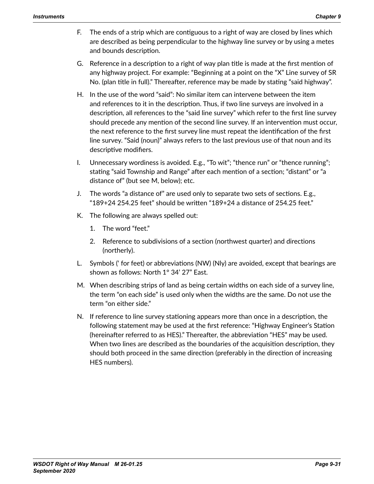- F. The ends of a strip which are contiguous to a right of way are closed by lines which are described as being perpendicular to the highway line survey or by using a metes and bounds description.
- G. Reference in a description to a right of way plan title is made at the first mention of any highway project. For example: "Beginning at a point on the "X" Line survey of SR No. (plan title in full)." Thereafter, reference may be made by stating "said highway".
- H. In the use of the word "said": No similar item can intervene between the item and references to it in the description. Thus, if two line surveys are involved in a description, all references to the "said line survey" which refer to the first line survey should precede any mention of the second line survey. If an intervention must occur, the next reference to the first survey line must repeat the identification of the first line survey. "Said (noun)" always refers to the last previous use of that noun and its descriptive modifiers.
- I. Unnecessary wordiness is avoided. E.g., "To wit"; "thence run" or "thence running"; stating "said Township and Range" after each mention of a section; "distant" or "a distance of" (but see M, below); etc.
- J. The words "a distance of" are used only to separate two sets of sections. E.g., "189+24 254.25 feet" should be written "189+24 a distance of 254.25 feet."
- K. The following are always spelled out:
	- 1. The word "feet."
	- 2. Reference to subdivisions of a section (northwest quarter) and directions (northerly).
- L. Symbols (' for feet) or abbreviations (NW) (Nly) are avoided, except that bearings are shown as follows: North 1° 34' 27" East.
- M. When describing strips of land as being certain widths on each side of a survey line, the term "on each side" is used only when the widths are the same. Do not use the term "on either side."
- N. If reference to line survey stationing appears more than once in a description, the following statement may be used at the first reference: "Highway Engineer's Station (hereinafter referred to as HES)." Thereafter, the abbreviation "HES" may be used. When two lines are described as the boundaries of the acquisition description, they should both proceed in the same direction (preferably in the direction of increasing HES numbers).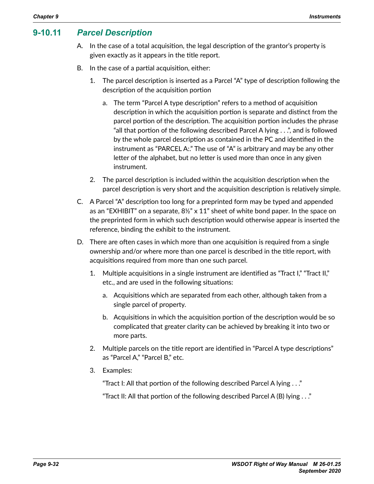# **9-10.11** *Parcel Description*

- A. In the case of a total acquisition, the legal description of the grantor's property is given exactly as it appears in the title report.
- B. In the case of a partial acquisition, either:
	- 1. The parcel description is inserted as a Parcel "A" type of description following the description of the acquisition portion
		- a. The term "Parcel A type description" refers to a method of acquisition description in which the acquisition portion is separate and distinct from the parcel portion of the description. The acquisition portion includes the phrase "all that portion of the following described Parcel A lying . . .", and is followed by the whole parcel description as contained in the PC and identified in the instrument as "PARCEL A:." The use of "A" is arbitrary and may be any other letter of the alphabet, but no letter is used more than once in any given instrument.
	- 2. The parcel description is included within the acquisition description when the parcel description is very short and the acquisition description is relatively simple.
- C. A Parcel "A" description too long for a preprinted form may be typed and appended as an "EXHIBIT" on a separate,  $8\frac{1}{2}$ " x 11" sheet of white bond paper. In the space on the preprinted form in which such description would otherwise appear is inserted the reference, binding the exhibit to the instrument.
- D. There are often cases in which more than one acquisition is required from a single ownership and/or where more than one parcel is described in the title report, with acquisitions required from more than one such parcel.
	- 1. Multiple acquisitions in a single instrument are identified as "Tract I," "Tract II," etc., and are used in the following situations:
		- a. Acquisitions which are separated from each other, although taken from a single parcel of property.
		- b. Acquisitions in which the acquisition portion of the description would be so complicated that greater clarity can be achieved by breaking it into two or more parts.
	- 2. Multiple parcels on the title report are identified in "Parcel A type descriptions" as "Parcel A," "Parcel B," etc.
	- 3. Examples:

"Tract I: All that portion of the following described Parcel A lying . . ."

"Tract II: All that portion of the following described Parcel A (B) lying . . ."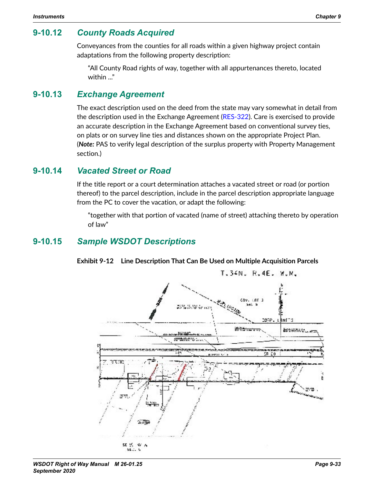# **9-10.12** *County Roads Acquired*

Conveyances from the counties for all roads within a given highway project contain adaptations from the following property description:

"All County Road rights of way, together with all appurtenances thereto, located within ..."

#### **9-10.13** *Exchange Agreement*

The exact description used on the deed from the state may vary somewhat in detail from the description used in the Exchange Agreement ([RES-322](http://wwwi.wsdot.wa.gov/Design/RealEstateServices/AcquisitionForms.htm)). Care is exercised to provide an accurate description in the Exchange Agreement based on conventional survey ties, on plats or on survey line ties and distances shown on the appropriate Project Plan. (*Note:* PAS to verify legal description of the surplus property with Property Management section.)

#### **9-10.14** *Vacated Street or Road*

<span id="page-32-0"></span>If the title report or a court determination attaches a vacated street or road (or portion thereof) to the parcel description, include in the parcel description appropriate language from the PC to cover the vacation, or adapt the following:

"together with that portion of vacated (name of street) attaching thereto by operation of law"

# **9-10.15** *Sample WSDOT Descriptions*



**Exhibit 9-12 Line Description That Can Be Used on Multiple Acquisition Parcels**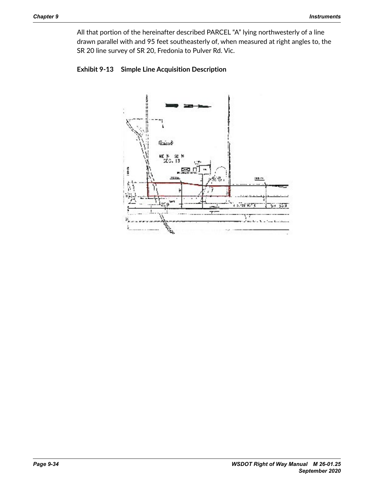All that portion of the hereinafter described PARCEL "A" lying northwesterly of a line drawn parallel with and 95 feet southeasterly of, when measured at right angles to, the SR 20 line survey of SR 20, Fredonia to Pulver Rd. Vic.



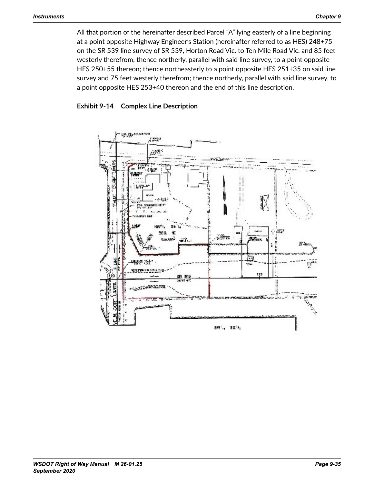All that portion of the hereinafter described Parcel "A" lying easterly of a line beginning at a point opposite Highway Engineer's Station (hereinafter referred to as HES) 248+75 on the SR 539 line survey of SR 539, Horton Road Vic. to Ten Mile Road Vic. and 85 feet westerly therefrom; thence northerly, parallel with said line survey, to a point opposite HES 250+55 thereon; thence northeasterly to a point opposite HES 251+35 on said line survey and 75 feet westerly therefrom; thence northerly, parallel with said line survey, to a point opposite HES 253+40 thereon and the end of this line description.



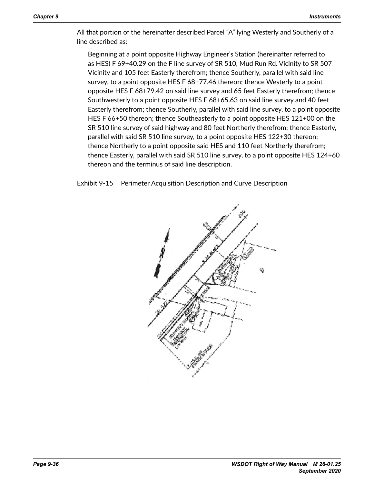All that portion of the hereinafter described Parcel "A" lying Westerly and Southerly of a line described as:

Beginning at a point opposite Highway Engineer's Station (hereinafter referred to as HES) F 69+40.29 on the F line survey of SR 510, Mud Run Rd. Vicinity to SR 507 Vicinity and 105 feet Easterly therefrom; thence Southerly, parallel with said line survey, to a point opposite HES F 68+77.46 thereon; thence Westerly to a point opposite HES F 68+79.42 on said line survey and 65 feet Easterly therefrom; thence Southwesterly to a point opposite HES F 68+65.63 on said line survey and 40 feet Easterly therefrom; thence Southerly, parallel with said line survey, to a point opposite HES F 66+50 thereon; thence Southeasterly to a point opposite HES 121+00 on the SR 510 line survey of said highway and 80 feet Northerly therefrom; thence Easterly, parallel with said SR 510 line survey, to a point opposite HES 122+30 thereon; thence Northerly to a point opposite said HES and 110 feet Northerly therefrom; thence Easterly, parallel with said SR 510 line survey, to a point opposite HES 124+60 thereon and the terminus of said line description.

Exhibit 9-15 Perimeter Acquisition Description and Curve Description

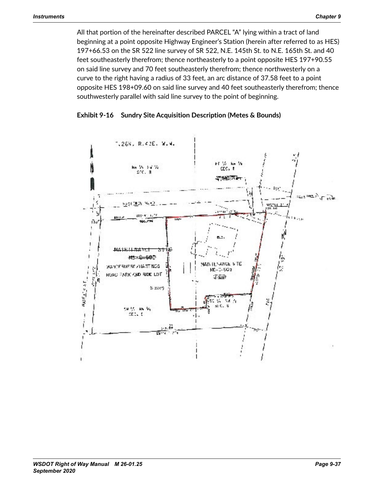All that portion of the hereinafter described PARCEL "A" lying within a tract of land beginning at a point opposite Highway Engineer's Station (herein after referred to as HES) 197+66.53 on the SR 522 line survey of SR 522, N.E. 145th St. to N.E. 165th St. and 40 feet southeasterly therefrom; thence northeasterly to a point opposite HES 197+90.55 on said line survey and 70 feet southeasterly therefrom; thence northwesterly on a curve to the right having a radius of 33 feet, an arc distance of 37.58 feet to a point opposite HES 198+09.60 on said line survey and 40 feet southeasterly therefrom; thence southwesterly parallel with said line survey to the point of beginning.



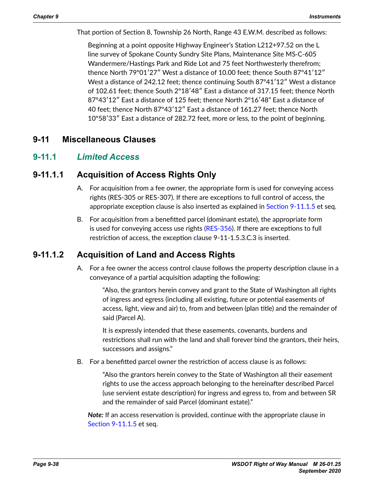That portion of Section 8, Township 26 North, Range 43 E.W.M. described as follows:

Beginning at a point opposite Highway Engineer's Station L212+97.52 on the L line survey of Spokane County Sundry Site Plans, Maintenance Site MS‑C-605 Wandermere/Hastings Park and Ride Lot and 75 feet Northwesterly therefrom; thence North 79º01′27″ West a distance of 10.00 feet; thence South 87º41′12″ West a distance of 242.12 feet; thence continuing South 87º41′12″ West a distance of 102.61 feet; thence South 2º18′48″ East a distance of 317.15 feet; thence North 87º43′12″ East a distance of 125 feet; thence North 2º16′48" East a distance of 40 feet; thence North 87º43′12″ East a distance of 161.27 feet; thence North 10º58′33″ East a distance of 282.72 feet, more or less, to the point of beginning.

# **9-11 Miscellaneous Clauses**

#### **9-11.1** *Limited Access*

#### **9-11.1.1 Acquisition of Access Rights Only**

- <span id="page-37-0"></span>A. For acquisition from a fee owner, the appropriate form is used for conveying access rights (RES-305 or RES-307). If there are exceptions to full control of access, the appropriate exception clause is also inserted as explained in [Section 9-11.1.5](#page-38-0) et seq.
- B. For acquisition from a benefitted parcel (dominant estate), the appropriate form is used for conveying access use rights [\(RES-356](http://wwwi.wsdot.wa.gov/Design/RealEstateServices/AcquisitionForms.htm)). If there are exceptions to full restriction of access, the exception clause 9-11-1.5.3.C.3 is inserted.

# **9-11.1.2 Acquisition of Land and Access Rights**

A. For a fee owner the access control clause follows the property description clause in a conveyance of a partial acquisition adapting the following:

<span id="page-37-1"></span>"Also, the grantors herein convey and grant to the State of Washington all rights of ingress and egress (including all existing, future or potential easements of access, light, view and air) to, from and between (plan title) and the remainder of said (Parcel A).

It is expressly intended that these easements, covenants, burdens and restrictions shall run with the land and shall forever bind the grantors, their heirs, successors and assigns."

B. For a benefitted parcel owner the restriction of access clause is as follows:

"Also the grantors herein convey to the State of Washington all their easement rights to use the access approach belonging to the hereinafter described Parcel (use servient estate description) for ingress and egress to, from and between SR and the remainder of said Parcel (dominant estate)."

*Note:* If an access reservation is provided, continue with the appropriate clause in [Section 9-11.1.5](#page-38-0) et seq.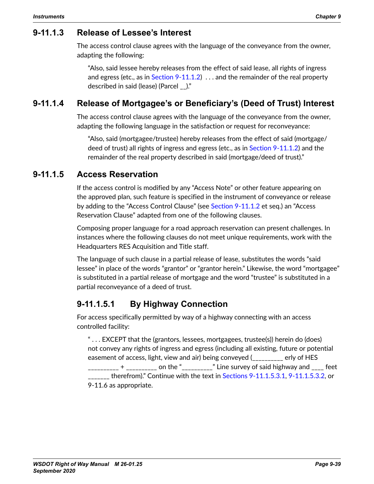#### **9-11.1.3 Release of Lessee's Interest**

The access control clause agrees with the language of the conveyance from the owner, adapting the following:

"Also, said lessee hereby releases from the effect of said lease, all rights of ingress and egress (etc., as in Section  $9-11.1.2$ ) ... and the remainder of the real property described in said (lease) (Parcel \_\_)."

# **9-11.1.4 Release of Mortgagee's or Beneficiary's (Deed of Trust) Interest**

The access control clause agrees with the language of the conveyance from the owner, adapting the following language in the satisfaction or request for reconveyance:

<span id="page-38-0"></span>"Also, said (mortgagee/trustee) hereby releases from the effect of said (mortgage/ deed of trust) all rights of ingress and egress (etc., as in [Section 9-11.1.2](#page-37-1)) and the remainder of the real property described in said (mortgage/deed of trust)."

#### **9-11.1.5 Access Reservation**

If the access control is modified by any "Access Note" or other feature appearing on the approved plan, such feature is specified in the instrument of conveyance or release by adding to the "Access Control Clause" (see [Section 9-11.1.2](#page-37-1) et seq.) an "Access Reservation Clause" adapted from one of the following clauses.

Composing proper language for a road approach reservation can present challenges. In instances where the following clauses do not meet unique requirements, work with the Headquarters RES Acquisition and Title staff.

The language of such clause in a partial release of lease, substitutes the words "said lessee" in place of the words "grantor" or "grantor herein." Likewise, the word "mortgagee" is substituted in a partial release of mortgage and the word "trustee" is substituted in a partial reconveyance of a deed of trust.

## **9-11.1.5.1 By Highway Connection**

For access specifically permitted by way of a highway connecting with an access controlled facility:

" . . . EXCEPT that the (grantors, lessees, mortgagees, trustee(s)) herein do (does) not convey any rights of ingress and egress (including all existing, future or potential easement of access, light, view and air) being conveyed (\_\_\_\_\_\_\_\_\_\_ erly of HES  $\frac{1}{2}$   $\frac{1}{2}$   $\frac{1}{2}$   $\frac{1}{2}$   $\frac{1}{2}$   $\frac{1}{2}$  on the " $\frac{1}{2}$   $\frac{1}{2}$   $\frac{1}{2}$ " Line survey of said highway and  $\frac{1}{2}$  feet <sub>\_\_\_</sub> therefrom)." Continue with the text in [Sections 9-11.1.5.3.1](#page-43-0), [9-11.1.5.3.2](#page-39-0), or 9-11.6 as appropriate.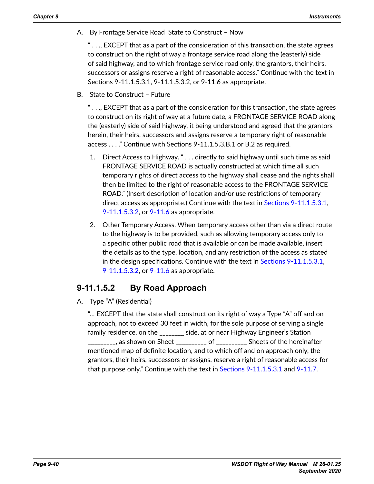A. By Frontage Service Road State to Construct – Now

 $\ldots$ , EXCEPT that as a part of the consideration of this transaction, the state agrees to construct on the right of way a frontage service road along the (easterly) side of said highway, and to which frontage service road only, the grantors, their heirs, successors or assigns reserve a right of reasonable access." Continue with the text in Sections 9-11.1.5.3.1, 9-11.1.5.3.2, or 9-11.6 as appropriate.

B. State to Construct – Future

 $\ldots$ , EXCEPT that as a part of the consideration for this transaction, the state agrees to construct on its right of way at a future date, a FRONTAGE SERVICE ROAD along the (easterly) side of said highway, it being understood and agreed that the grantors herein, their heirs, successors and assigns reserve a temporary right of reasonable access . . . ." Continue with Sections 9-11.1.5.3.B.1 or B.2 as required.

- 1. Direct Access to Highway. " . . . directly to said highway until such time as said FRONTAGE SERVICE ROAD is actually constructed at which time all such temporary rights of direct access to the highway shall cease and the rights shall then be limited to the right of reasonable access to the FRONTAGE SERVICE ROAD." (Insert description of location and/or use restrictions of temporary direct access as appropriate.) Continue with the text in [Sections 9-11.1.5.3.1](#page-43-0), [9-11.1.5.3.2](#page-39-0), or [9-11.6](#page-45-0) as appropriate.
- 2. Other Temporary Access. When temporary access other than via a direct route to the highway is to be provided, such as allowing temporary access only to a specific other public road that is available or can be made available, insert the details as to the type, location, and any restriction of the access as stated in the design specifications. Continue with the text in [Sections 9-11.1.5.3.1](#page-43-0), [9-11.1.5.3.2](#page-39-0), or [9-11.6](#page-45-0) as appropriate.

## **9-11.1.5.2 By Road Approach**

A. Type "A" (Residential)

<span id="page-39-0"></span>"… EXCEPT that the state shall construct on its right of way a Type "A" off and on approach, not to exceed 30 feet in width, for the sole purpose of serving a single family residence, on the \_\_\_\_\_\_\_\_ side, at or near Highway Engineer's Station  $\frac{1}{2}$  as shown on Sheet  $\frac{1}{2}$  of  $\frac{1}{2}$  Sheets of the hereinafter mentioned map of definite location, and to which off and on approach only, the grantors, their heirs, successors or assigns, reserve a right of reasonable access for that purpose only." Continue with the text in [Sections 9-11.1.5.3.1](#page-43-0) and [9-11.7](#page-46-0).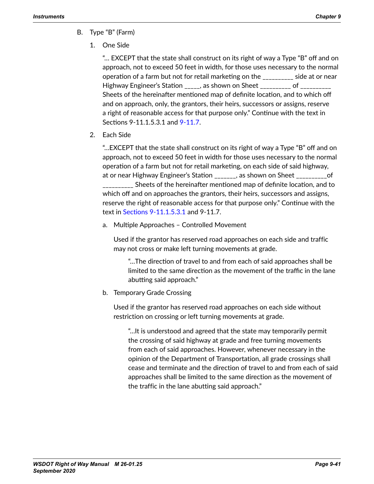- B. Type "B" (Farm)
	- 1. One Side

"… EXCEPT that the state shall construct on its right of way a Type "B" off and on approach, not to exceed 50 feet in width, for those uses necessary to the normal operation of a farm but not for retail marketing on the \_\_\_\_\_\_\_\_\_\_ side at or near Highway Engineer's Station \_\_\_\_\_, as shown on Sheet \_\_\_\_\_\_\_\_\_ of \_\_\_\_\_\_\_\_\_\_ Sheets of the hereinafter mentioned map of definite location, and to which off and on approach, only, the grantors, their heirs, successors or assigns, reserve a right of reasonable access for that purpose only." Continue with the text in Sections 9-11.1.5.3.1 and [9-11.7](#page-46-0).

2. Each Side

"…EXCEPT that the state shall construct on its right of way a Type "B" off and on approach, not to exceed 50 feet in width for those uses necessary to the normal operation of a farm but not for retail marketing, on each side of said highway, at or near Highway Engineer's Station \_\_\_\_\_\_\_, as shown on Sheet \_\_\_\_\_\_\_\_\_\_of \_\_\_\_\_\_\_\_\_\_ Sheets of the hereinafter mentioned map of definite location, and to which off and on approaches the grantors, their heirs, successors and assigns, reserve the right of reasonable access for that purpose only." Continue with the text in [Sections 9-11.1.5.3.1](#page-43-0) and 9-11.7.

a. Multiple Approaches – Controlled Movement

Used if the grantor has reserved road approaches on each side and traffic may not cross or make left turning movements at grade.

"…The direction of travel to and from each of said approaches shall be limited to the same direction as the movement of the traffic in the lane abutting said approach."

b. Temporary Grade Crossing

Used if the grantor has reserved road approaches on each side without restriction on crossing or left turning movements at grade.

"…It is understood and agreed that the state may temporarily permit the crossing of said highway at grade and free turning movements from each of said approaches. However, whenever necessary in the opinion of the Department of Transportation, all grade crossings shall cease and terminate and the direction of travel to and from each of said approaches shall be limited to the same direction as the movement of the traffic in the lane abutting said approach."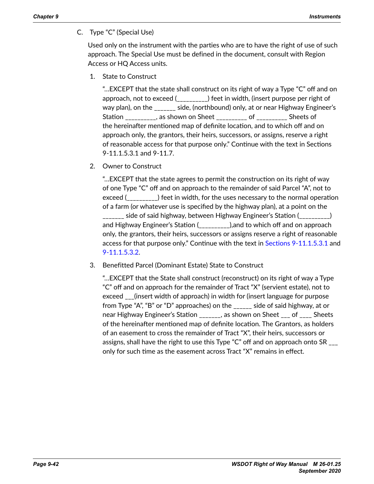C. Type "C" (Special Use)

Used only on the instrument with the parties who are to have the right of use of such approach. The Special Use must be defined in the document, consult with Region Access or HQ Access units.

1. State to Construct

"…EXCEPT that the state shall construct on its right of way a Type "C" off and on approach, not to exceed (\_\_\_\_\_\_\_\_\_\_) feet in width, (insert purpose per right of way plan), on the \_\_\_\_\_\_\_ side, (northbound) only, at or near Highway Engineer's Station \_\_\_\_\_\_\_\_\_\_, as shown on Sheet \_\_\_\_\_\_\_\_\_\_ of \_\_\_\_\_\_\_\_\_\_ Sheets of the hereinafter mentioned map of definite location, and to which off and on approach only, the grantors, their heirs, successors, or assigns, reserve a right of reasonable access for that purpose only." Continue with the text in Sections 9-11.1.5.3.1 and 9-11.7.

2. Owner to Construct

"…EXCEPT that the state agrees to permit the construction on its right of way of one Type "C" off and on approach to the remainder of said Parcel "A", not to exceed (\_\_\_\_\_\_\_\_\_\_) feet in width, for the uses necessary to the normal operation of a farm (or whatever use is specified by the highway plan), at a point on the \_\_\_\_\_\_\_ side of said highway, between Highway Engineer's Station (\_\_\_\_\_\_\_\_\_\_) and Highway Engineer's Station (\_\_\_\_\_\_\_\_\_\_),and to which off and on approach only, the grantors, their heirs, successors or assigns reserve a right of reasonable access for that purpose only." Continue with the text in [Sections 9-11.1.5.3.1](#page-43-0) and [9-11.1.5.3.2](#page-39-0).

3. Benefitted Parcel (Dominant Estate) State to Construct

"…EXCEPT that the State shall construct (reconstruct) on its right of way a Type "C" off and on approach for the remainder of Tract "X" (servient estate), not to exceed \_\_\_(insert width of approach) in width for (insert language for purpose from Type "A", "B" or "D" approaches) on the \_\_\_\_\_\_ side of said highway, at or near Highway Engineer's Station \_\_\_\_\_\_, as shown on Sheet \_\_\_ of \_\_\_\_ Sheets of the hereinafter mentioned map of definite location. The Grantors, as holders of an easement to cross the remainder of Tract "X", their heirs, successors or assigns, shall have the right to use this Type "C" off and on approach onto SR \_\_\_ only for such time as the easement across Tract "X" remains in effect.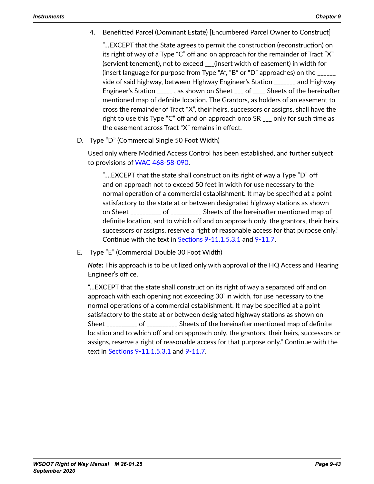4. Benefitted Parcel (Dominant Estate) [Encumbered Parcel Owner to Construct]

"…EXCEPT that the State agrees to permit the construction (reconstruction) on its right of way of a Type "C" off and on approach for the remainder of Tract "X" (servient tenement), not to exceed \_\_\_(insert width of easement) in width for (insert language for purpose from Type "A", "B" or "D" approaches) on the \_\_\_\_\_\_ side of said highway, between Highway Engineer's Station \_\_\_\_\_\_\_ and Highway Engineer's Station  $\qquad \qquad$ , as shown on Sheet  $\qquad$  of  $\qquad$  Sheets of the hereinafter mentioned map of definite location. The Grantors, as holders of an easement to cross the remainder of Tract "X", their heirs, successors or assigns, shall have the right to use this Type "C" off and on approach onto SR \_\_\_ only for such time as the easement across Tract "X" remains in effect.

D. Type "D" (Commercial Single 50 Foot Width)

Used only where Modified Access Control has been established, and further subject to provisions of [WAC 468-58-090](http://apps.leg.wa.gov/WAC/default.aspx?cite=468-58-090).

"….EXCEPT that the state shall construct on its right of way a Type "D" off and on approach not to exceed 50 feet in width for use necessary to the normal operation of a commercial establishment. It may be specified at a point satisfactory to the state at or between designated highway stations as shown on Sheet of the hereinafter mentioned map of definite location, and to which off and on approach only, the grantors, their heirs, successors or assigns, reserve a right of reasonable access for that purpose only." Continue with the text in [Sections 9-11.1.5.3.1](#page-43-0) and [9-11.7](#page-46-0).

E. Type "E" (Commercial Double 30 Foot Width)

*Note:* This approach is to be utilized only with approval of the HQ Access and Hearing Engineer's office.

"…EXCEPT that the state shall construct on its right of way a separated off and on approach with each opening not exceeding 30' in width, for use necessary to the normal operations of a commercial establishment. It may be specified at a point satisfactory to the state at or between designated highway stations as shown on Sheet \_\_\_\_\_\_\_\_\_\_ of \_\_\_\_\_\_\_\_\_\_ Sheets of the hereinafter mentioned map of definite location and to which off and on approach only, the grantors, their heirs, successors or assigns, reserve a right of reasonable access for that purpose only." Continue with the text in [Sections 9-11.1.5.3.1](#page-43-0) and [9-11.7](#page-46-0).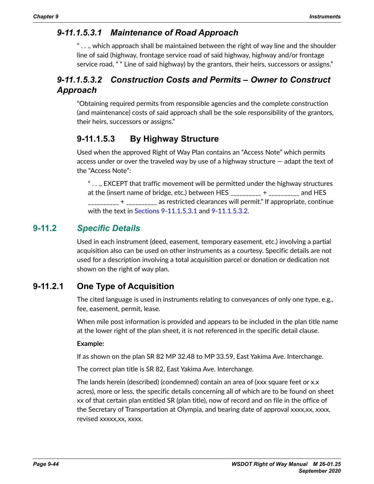# *9-11.1.5.3.1 Maintenance of Road Approach*

<span id="page-43-0"></span>" $\ldots$ , which approach shall be maintained between the right of way line and the shoulder line of said (highway, frontage service road of said highway, highway and/or frontage service road, " " Line of said highway) by the grantors, their heirs, successors or assigns."

# *9-11.1.5.3.2 Construction Costs and Permits – Owner to Construct Approach*

"Obtaining required permits from responsible agencies and the complete construction (and maintenance) costs of said approach shall be the sole responsibility of the grantors, their heirs, successors or assigns."

# **9-11.1.5.3 By Highway Structure**

Used when the approved Right of Way Plan contains an "Access Note" which permits access under or over the traveled way by use of a highway structure — adapt the text of the "Access Note":

 $\dotsc$ , EXCEPT that traffic movement will be permitted under the highway structures at the (insert name of bridge, etc.) between HES \_\_\_\_\_\_\_\_\_\_ + \_\_\_\_\_\_\_\_\_\_ and HES  $-$  +  $\,$  as restricted clearances will permit." If appropriate, continue with the text in [Sections 9-11.1.5.3.1](#page-43-0) and [9-11.1.5.3.2](#page-39-0).

## **9-11.2** *Specific Details*

Used in each instrument (deed, easement, temporary easement, etc.) involving a partial acquisition also can be used on other instruments as a courtesy. Specific details are not used for a description involving a total acquisition parcel or donation or dedication not shown on the right of way plan.

# **9-11.2.1 One Type of Acquisition**

<span id="page-43-1"></span>The cited language is used in instruments relating to conveyances of only one type, e.g., fee, easement, permit, lease.

When mile post information is provided and appears to be included in the plan title name at the lower right of the plan sheet, it is not referenced in the specific detail clause.

#### **Example:**

If as shown on the plan SR 82 MP 32.48 to MP 33.59, East Yakima Ave. Interchange.

The correct plan title is SR 82, East Yakima Ave. Interchange.

The lands herein (described) (condemned) contain an area of (xxx square feet or x.x acres), more or less, the specific details concerning all of which are to be found on sheet xx of that certain plan entitled SR (plan title), now of record and on file in the office of the Secretary of Transportation at Olympia, and bearing date of approval xxxx,xx, xxxx, revised xxxxx,xx, xxxx.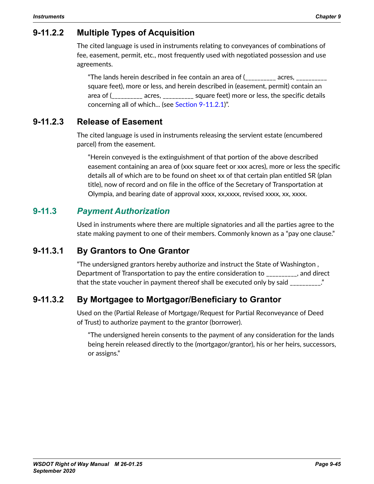# **9-11.2.2 Multiple Types of Acquisition**

The cited language is used in instruments relating to conveyances of combinations of fee, easement, permit, etc., most frequently used with negotiated possession and use agreements.

"The lands herein described in fee contain an area of ( $\overline{\phantom{a}}$ square feet), more or less, and herein described in (easement, permit) contain an area of (\_\_\_\_\_\_\_\_\_\_ acres, \_\_\_\_\_\_\_\_\_\_ square feet) more or less, the specific details concerning all of which... (see [Section 9-11.2.1](#page-43-1))".

# **9-11.2.3 Release of Easement**

The cited language is used in instruments releasing the servient estate (encumbered parcel) from the easement.

"Herein conveyed is the extinguishment of that portion of the above described easement containing an area of (xxx square feet or xxx acres), more or less the specific details all of which are to be found on sheet xx of that certain plan entitled SR (plan title), now of record and on file in the office of the Secretary of Transportation at Olympia, and bearing date of approval xxxx, xx,xxxx, revised xxxx, xx, xxxx.

# **9-11.3** *Payment Authorization*

Used in instruments where there are multiple signatories and all the parties agree to the state making payment to one of their members. Commonly known as a "pay one clause."

# **9-11.3.1 By Grantors to One Grantor**

"The undersigned grantors hereby authorize and instruct the State of Washington , Department of Transportation to pay the entire consideration to \_\_\_\_\_\_\_\_\_\_, and direct that the state voucher in payment thereof shall be executed only by said \_\_\_\_\_\_\_\_\_\_."

# **9-11.3.2 By Mortgagee to Mortgagor/Beneficiary to Grantor**

Used on the (Partial Release of Mortgage/Request for Partial Reconveyance of Deed of Trust) to authorize payment to the grantor (borrower).

"The undersigned herein consents to the payment of any consideration for the lands being herein released directly to the (mortgagor/grantor), his or her heirs, successors, or assigns."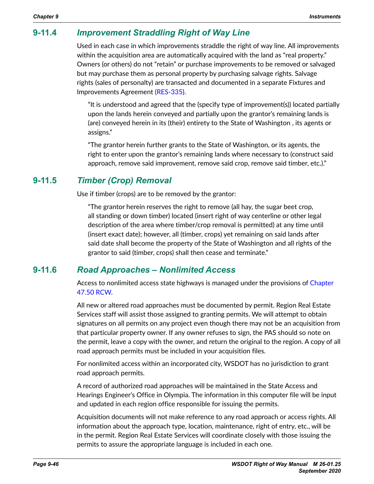# **9-11.4** *Improvement Straddling Right of Way Line*

Used in each case in which improvements straddle the right of way line. All improvements within the acquisition area are automatically acquired with the land as "real property." Owners (or others) do not "retain" or purchase improvements to be removed or salvaged but may purchase them as personal property by purchasing salvage rights. Salvage rights (sales of personalty) are transacted and documented in a separate Fixtures and Improvements Agreement ([RES-335](http://wwwi.wsdot.wa.gov/Design/RealEstateServices/AcquisitionForms.htm)).

"It is understood and agreed that the (specify type of improvement(s)) located partially upon the lands herein conveyed and partially upon the grantor's remaining lands is (are) conveyed herein in its (their) entirety to the State of Washington , its agents or assigns."

"The grantor herein further grants to the State of Washington, or its agents, the right to enter upon the grantor's remaining lands where necessary to (construct said approach, remove said improvement, remove said crop, remove said timber, etc.)."

#### **9-11.5** *Timber (Crop) Removal*

Use if timber (crops) are to be removed by the grantor:

"The grantor herein reserves the right to remove (all hay, the sugar beet crop, all standing or down timber) located (insert right of way centerline or other legal description of the area where timber/crop removal is permitted) at any time until (insert exact date); however, all (timber, crops) yet remaining on said lands after said date shall become the property of the State of Washington and all rights of the grantor to said (timber, crops) shall then cease and terminate."

## **9-11.6** *Road Approaches – Nonlimited Access*

<span id="page-45-0"></span>Access to nonlimited access state highways is managed under the provisions of [Chapter](http://apps.leg.wa.gov/RCW/default.aspx?cite=47.50)  [47.50 RCW](http://apps.leg.wa.gov/RCW/default.aspx?cite=47.50).

All new or altered road approaches must be documented by permit. Region Real Estate Services staff will assist those assigned to granting permits. We will attempt to obtain signatures on all permits on any project even though there may not be an acquisition from that particular property owner. If any owner refuses to sign, the PAS should so note on the permit, leave a copy with the owner, and return the original to the region. A copy of all road approach permits must be included in your acquisition files.

For nonlimited access within an incorporated city, WSDOT has no jurisdiction to grant road approach permits.

A record of authorized road approaches will be maintained in the State Access and Hearings Engineer's Office in Olympia. The information in this computer file will be input and updated in each region office responsible for issuing the permits.

Acquisition documents will not make reference to any road approach or access rights. All information about the approach type, location, maintenance, right of entry, etc., will be in the permit. Region Real Estate Services will coordinate closely with those issuing the permits to assure the appropriate language is included in each one.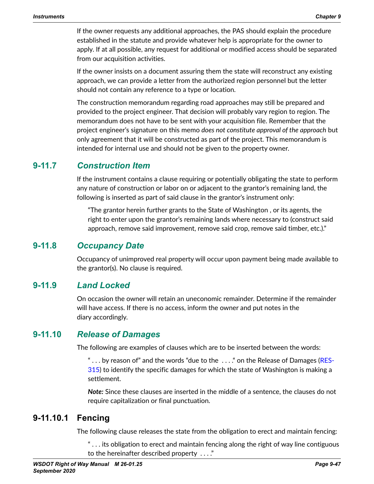If the owner requests any additional approaches, the PAS should explain the procedure established in the statute and provide whatever help is appropriate for the owner to apply. If at all possible, any request for additional or modified access should be separated from our acquisition activities.

If the owner insists on a document assuring them the state will reconstruct any existing approach, we can provide a letter from the authorized region personnel but the letter should not contain any reference to a type or location.

The construction memorandum regarding road approaches may still be prepared and provided to the project engineer. That decision will probably vary region to region. The memorandum does not have to be sent with your acquisition file. Remember that the project engineer's signature on this memo *does not constitute approval of the approach* but only agreement that it will be constructed as part of the project. This memorandum is intended for internal use and should not be given to the property owner.

#### **9-11.7** *Construction Item*

<span id="page-46-0"></span>If the instrument contains a clause requiring or potentially obligating the state to perform any nature of construction or labor on or adjacent to the grantor's remaining land, the following is inserted as part of said clause in the grantor's instrument only:

"The grantor herein further grants to the State of Washington , or its agents, the right to enter upon the grantor's remaining lands where necessary to (construct said approach, remove said improvement, remove said crop, remove said timber, etc.)."

#### **9-11.8** *Occupancy Date*

Occupancy of unimproved real property will occur upon payment being made available to the grantor(s). No clause is required.

## **9-11.9** *Land Locked*

On occasion the owner will retain an uneconomic remainder. Determine if the remainder will have access. If there is no access, inform the owner and put notes in the diary accordingly.

## **9-11.10** *Release of Damages*

The following are examples of clauses which are to be inserted between the words:

"... by reason of" and the words "due to the ...." on the Release of Damages ([RES-](http://wwwi.wsdot.wa.gov/Design/RealEstateServices/AcquisitionForms.htm)[315](http://wwwi.wsdot.wa.gov/Design/RealEstateServices/AcquisitionForms.htm)) to identify the specific damages for which the state of Washington is making a settlement.

*Note:* Since these clauses are inserted in the middle of a sentence, the clauses do not require capitalization or final punctuation.

## **9-11.10.1 Fencing**

The following clause releases the state from the obligation to erect and maintain fencing:

" . . . its obligation to erect and maintain fencing along the right of way line contiguous to the hereinafter described property . . . ."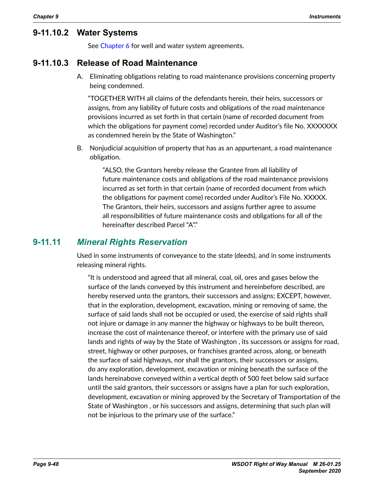#### **9-11.10.2 Water Systems**

See Chapter 6 for well and water system agreements.

#### **9-11.10.3 Release of Road Maintenance**

A. Eliminating obligations relating to road maintenance provisions concerning property being condemned.

"TOGETHER WITH all claims of the defendants herein, their heirs, successors or assigns, from any liability of future costs and obligations of the road maintenance provisions incurred as set forth in that certain (name of recorded document from which the obligations for payment come) recorded under Auditor's file No. XXXXXXX as condemned herein by the State of Washington."

B. Nonjudicial acquisition of property that has as an appurtenant, a road maintenance obligation.

> "ALSO, the Grantors hereby release the Grantee from all liability of future maintenance costs and obligations of the road maintenance provisions incurred as set forth in that certain (name of recorded document from which the obligations for payment come) recorded under Auditor's File No. XXXXX. The Grantors, their heirs, successors and assigns further agree to assume all responsibilities of future maintenance costs and obligations for all of the hereinafter described Parcel "A"."

#### **9-11.11** *Mineral Rights Reservation*

Used in some instruments of conveyance to the state (deeds), and in some instruments releasing mineral rights.

"It is understood and agreed that all mineral, coal, oil, ores and gases below the surface of the lands conveyed by this instrument and hereinbefore described, are hereby reserved unto the grantors, their successors and assigns; EXCEPT, however, that in the exploration, development, excavation, mining or removing of same, the surface of said lands shall not be occupied or used, the exercise of said rights shall not injure or damage in any manner the highway or highways to be built thereon, increase the cost of maintenance thereof, or interfere with the primary use of said lands and rights of way by the State of Washington , its successors or assigns for road, street, highway or other purposes, or franchises granted across, along, or beneath the surface of said highways, nor shall the grantors, their successors or assigns, do any exploration, development, excavation or mining beneath the surface of the lands hereinabove conveyed within a vertical depth of 500 feet below said surface until the said grantors, their successors or assigns have a plan for such exploration, development, excavation or mining approved by the Secretary of Transportation of the State of Washington , or his successors and assigns, determining that such plan will not be injurious to the primary use of the surface."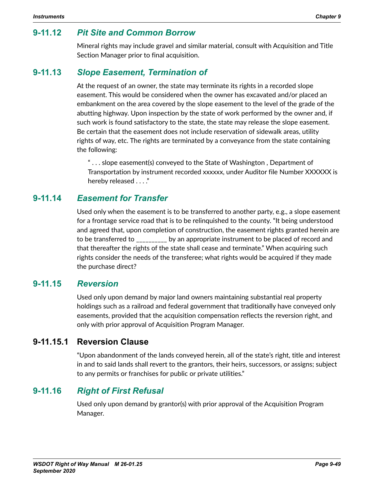## **9-11.12** *Pit Site and Common Borrow*

Mineral rights may include gravel and similar material, consult with Acquisition and Title Section Manager prior to final acquisition.

#### **9-11.13** *Slope Easement, Termination of*

At the request of an owner, the state may terminate its rights in a recorded slope easement. This would be considered when the owner has excavated and/or placed an embankment on the area covered by the slope easement to the level of the grade of the abutting highway. Upon inspection by the state of work performed by the owner and, if such work is found satisfactory to the state, the state may release the slope easement. Be certain that the easement does not include reservation of sidewalk areas, utility rights of way, etc. The rights are terminated by a conveyance from the state containing the following:

" . . . slope easement(s) conveyed to the State of Washington , Department of Transportation by instrument recorded xxxxxx, under Auditor file Number XXXXXX is hereby released . . . ."

#### **9-11.14** *Easement for Transfer*

Used only when the easement is to be transferred to another party, e.g., a slope easement for a frontage service road that is to be relinquished to the county. "It being understood and agreed that, upon completion of construction, the easement rights granted herein are to be transferred to \_\_\_\_\_\_\_\_\_\_ by an appropriate instrument to be placed of record and that thereafter the rights of the state shall cease and terminate." When acquiring such rights consider the needs of the transferee; what rights would be acquired if they made the purchase direct?

#### **9-11.15** *Reversion*

Used only upon demand by major land owners maintaining substantial real property holdings such as a railroad and federal government that traditionally have conveyed only easements, provided that the acquisition compensation reflects the reversion right, and only with prior approval of Acquisition Program Manager.

#### **9-11.15.1 Reversion Clause**

"Upon abandonment of the lands conveyed herein, all of the state's right, title and interest in and to said lands shall revert to the grantors, their heirs, successors, or assigns; subject to any permits or franchises for public or private utilities."

## **9-11.16** *Right of First Refusal*

Used only upon demand by grantor(s) with prior approval of the Acquisition Program Manager.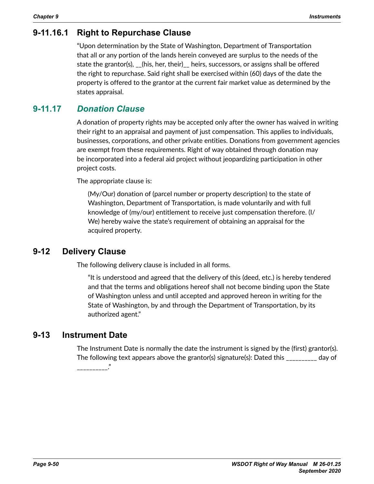# **9-11.16.1 Right to Repurchase Clause**

"Upon determination by the State of Washington, Department of Transportation that all or any portion of the lands herein conveyed are surplus to the needs of the state the grantor(s), \_\_(his, her, their)\_\_ heirs, successors, or assigns shall be offered the right to repurchase. Said right shall be exercised within (60) days of the date the property is offered to the grantor at the current fair market value as determined by the states appraisal.

# **9-11.17** *Donation Clause*

A donation of property rights may be accepted only after the owner has waived in writing their right to an appraisal and payment of just compensation. This applies to individuals, businesses, corporations, and other private entities. Donations from government agencies are exempt from these requirements. Right of way obtained through donation may be incorporated into a federal aid project without jeopardizing participation in other project costs.

The appropriate clause is:

(My/Our) donation of (parcel number or property description) to the state of Washington, Department of Transportation, is made voluntarily and with full knowledge of (my/our) entitlement to receive just compensation therefore. (I/ We) hereby waive the state's requirement of obtaining an appraisal for the acquired property.

# **9-12 Delivery Clause**

<span id="page-49-0"></span>The following delivery clause is included in all forms.

"It is understood and agreed that the delivery of this (deed, etc.) is hereby tendered and that the terms and obligations hereof shall not become binding upon the State of Washington unless and until accepted and approved hereon in writing for the State of Washington, by and through the Department of Transportation, by its authorized agent."

# **9-13 Instrument Date**

<span id="page-49-1"></span>The Instrument Date is normally the date the instrument is signed by the (first) grantor(s). The following text appears above the grantor(s) signature(s): Dated this \_\_\_\_\_\_\_\_\_\_ day of "<br>-------------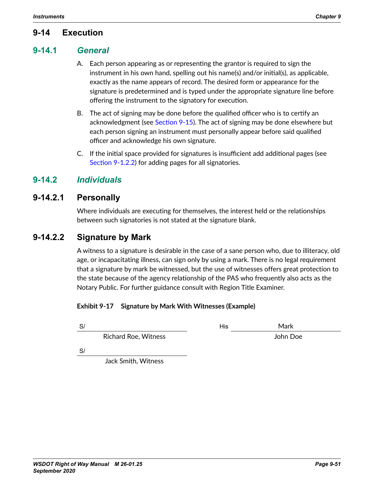# **9-14 Execution**

#### **9-14.1** *General*

- <span id="page-50-1"></span><span id="page-50-0"></span>A. Each person appearing as or representing the grantor is required to sign the instrument in his own hand, spelling out his name(s) and/or initial(s), as applicable, exactly as the name appears of record. The desired form or appearance for the signature is predetermined and is typed under the appropriate signature line before offering the instrument to the signatory for execution.
- B. The act of signing may be done before the qualified officer who is to certify an acknowledgment (see [Section 9-15](#page-54-0)). The act of signing may be done elsewhere but each person signing an instrument must personally appear before said qualified officer and acknowledge his own signature.
- C. If the initial space provided for signatures is insufficient add additional pages (see [Section 9-1.2.2](#page-1-1)) for adding pages for all signatories.

## **9-14.2** *Individuals*

#### **9-14.2.1 Personally**

Where individuals are executing for themselves, the interest held or the relationships between such signatories is not stated at the signature blank.

#### **9-14.2.2 Signature by Mark**

A witness to a signature is desirable in the case of a sane person who, due to illiteracy, old age, or incapacitating illness, can sign only by using a mark. There is no legal requirement that a signature by mark be witnessed, but the use of witnesses offers great protection to the state because of the agency relationship of the PAS who frequently also acts as the Notary Public. For further guidance consult with Region Title Examiner.

#### **Exhibit 9-17 Signature by Mark With Witnesses (Example)**

| S/                          | His | Mark     |
|-----------------------------|-----|----------|
| <b>Richard Roe, Witness</b> |     | John Doe |
| S/                          |     |          |
| Jack Smith, Witness         |     |          |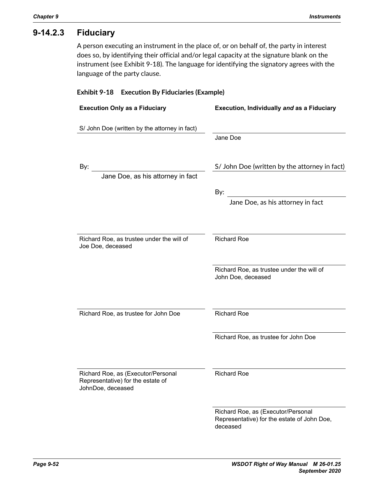# **9-14.2.3 Fiduciary**

A person executing an instrument in the place of, or on behalf of, the party in interest does so, by identifying their official and/or legal capacity at the signature blank on the instrument (see Exhibit 9-18). The language for identifying the signatory agrees with the language of the party clause.

#### **Exhibit 9-18 Execution By Fiduciaries (Example)**

| <b>Execution Only as a Fiduciary</b>                                                         | Execution, Individually and as a Fiduciary                                                                          |  |
|----------------------------------------------------------------------------------------------|---------------------------------------------------------------------------------------------------------------------|--|
| S/ John Doe (written by the attorney in fact)                                                | Jane Doe                                                                                                            |  |
| By:<br>Jane Doe, as his attorney in fact                                                     | S/ John Doe (written by the attorney in fact)<br>By:<br>Jane Doe, as his attorney in fact                           |  |
| Richard Roe, as trustee under the will of<br>Joe Doe, deceased                               | <b>Richard Roe</b><br>Richard Roe, as trustee under the will of<br>John Doe, deceased                               |  |
| Richard Roe, as trustee for John Doe                                                         | <b>Richard Roe</b><br>Richard Roe, as trustee for John Doe                                                          |  |
| Richard Roe, as (Executor/Personal<br>Representative) for the estate of<br>JohnDoe, deceased | <b>Richard Roe</b><br>Richard Roe, as (Executor/Personal<br>Representative) for the estate of John Doe,<br>deceased |  |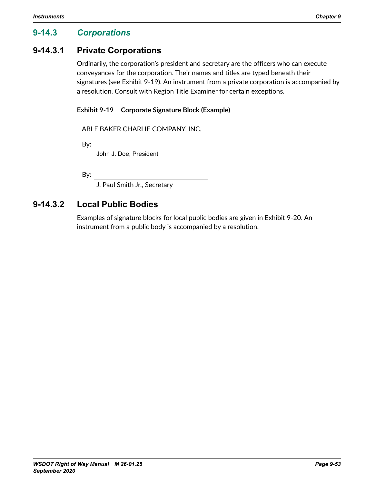# **9-14.3** *Corporations*

#### **9-14.3.1 Private Corporations**

Ordinarily, the corporation's president and secretary are the officers who can execute conveyances for the corporation. Their names and titles are typed beneath their signatures (see Exhibit 9-19). An instrument from a private corporation is accompanied by a resolution. Consult with Region Title Examiner for certain exceptions.

#### **Exhibit 9-19 Corporate Signature Block (Example)**

ABLE BAKER CHARLIE COMPANY, INC.

By:

John J. Doe, President

By:

J. Paul Smith Jr., Secretary

# **9-14.3.2 Local Public Bodies**

Examples of signature blocks for local public bodies are given in Exhibit 9-20. An instrument from a public body is accompanied by a resolution.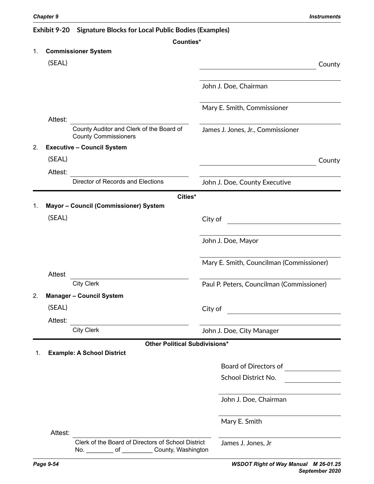#### **Exhibit 9-20 Signature Blocks for Local Public Bodies (Examples)**

| <b>Commissioner System</b><br>1.<br>(SEAL)<br>John J. Doe, Chairman<br>Mary E. Smith, Commissioner<br>Attest:<br>County Auditor and Clerk of the Board of<br>James J. Jones, Jr., Commissioner<br><b>County Commissioners</b><br><b>Executive - Council System</b><br>2.<br>(SEAL)<br>Attest:<br>Director of Records and Elections | County |  |
|------------------------------------------------------------------------------------------------------------------------------------------------------------------------------------------------------------------------------------------------------------------------------------------------------------------------------------|--------|--|
|                                                                                                                                                                                                                                                                                                                                    |        |  |
|                                                                                                                                                                                                                                                                                                                                    |        |  |
|                                                                                                                                                                                                                                                                                                                                    |        |  |
|                                                                                                                                                                                                                                                                                                                                    |        |  |
|                                                                                                                                                                                                                                                                                                                                    |        |  |
|                                                                                                                                                                                                                                                                                                                                    |        |  |
|                                                                                                                                                                                                                                                                                                                                    |        |  |
|                                                                                                                                                                                                                                                                                                                                    |        |  |
|                                                                                                                                                                                                                                                                                                                                    |        |  |
|                                                                                                                                                                                                                                                                                                                                    | County |  |
|                                                                                                                                                                                                                                                                                                                                    |        |  |
| John J. Doe, County Executive                                                                                                                                                                                                                                                                                                      |        |  |
| Cities*                                                                                                                                                                                                                                                                                                                            |        |  |
| Mayor - Council (Commissioner) System<br>1.                                                                                                                                                                                                                                                                                        |        |  |
| (SEAL)<br>City of                                                                                                                                                                                                                                                                                                                  |        |  |
|                                                                                                                                                                                                                                                                                                                                    |        |  |
| John J. Doe, Mayor                                                                                                                                                                                                                                                                                                                 |        |  |
| Mary E. Smith, Councilman (Commissioner)                                                                                                                                                                                                                                                                                           |        |  |
| <b>Attest</b>                                                                                                                                                                                                                                                                                                                      |        |  |
| <b>City Clerk</b><br>Paul P. Peters, Councilman (Commissioner)                                                                                                                                                                                                                                                                     |        |  |
| 2.<br><b>Manager - Council System</b>                                                                                                                                                                                                                                                                                              |        |  |
| (SEAL)<br>City of                                                                                                                                                                                                                                                                                                                  |        |  |
| Attest:                                                                                                                                                                                                                                                                                                                            |        |  |
| <b>City Clerk</b><br>John J. Doe, City Manager                                                                                                                                                                                                                                                                                     |        |  |
| <b>Other Political Subdivisions*</b>                                                                                                                                                                                                                                                                                               |        |  |
| <b>Example: A School District</b>                                                                                                                                                                                                                                                                                                  |        |  |
| Board of Directors of                                                                                                                                                                                                                                                                                                              |        |  |
| School District No.                                                                                                                                                                                                                                                                                                                |        |  |
|                                                                                                                                                                                                                                                                                                                                    |        |  |
| John J. Doe, Chairman                                                                                                                                                                                                                                                                                                              |        |  |
| Mary E. Smith                                                                                                                                                                                                                                                                                                                      |        |  |
| Attest:                                                                                                                                                                                                                                                                                                                            |        |  |
| Clerk of the Board of Directors of School District<br>James J. Jones, Jr<br>No. of County, Washington                                                                                                                                                                                                                              |        |  |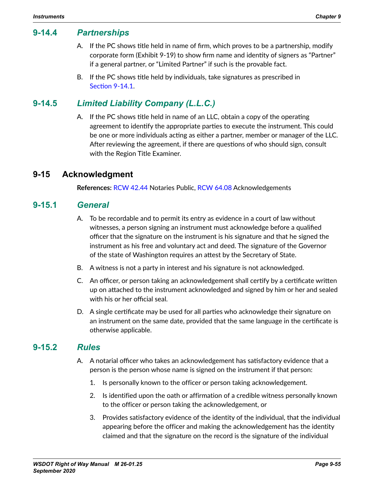## **9-14.4** *Partnerships*

- A. If the PC shows title held in name of firm, which proves to be a partnership, modify corporate form (Exhibit 9-19) to show firm name and identity of signers as "Partner" if a general partner, or "Limited Partner" if such is the provable fact.
- B. If the PC shows title held by individuals, take signatures as prescribed in [Section](#page-50-1) 9-14.1.

# **9-14.5** *Limited Liability Company (L.L.C.)*

A. If the PC shows title held in name of an LLC, obtain a copy of the operating agreement to identify the appropriate parties to execute the instrument. This could be one or more individuals acting as either a partner, member or manager of the LLC. After reviewing the agreement, if there are questions of who should sign, consult with the Region Title Examiner.

#### **9-15 Acknowledgment**

<span id="page-54-0"></span>**References:** [RCW 42.44](https://apps.leg.wa.gov/RCW/dispo.aspx?cite=42.44) Notaries Public, [RCW 64.08](https://apps.leg.wa.gov/RCW/default.aspx?cite=64.08) Acknowledgements

#### **9-15.1** *General*

- A. To be recordable and to permit its entry as evidence in a court of law without witnesses, a person signing an instrument must acknowledge before a qualified officer that the signature on the instrument is his signature and that he signed the instrument as his free and voluntary act and deed. The signature of the Governor of the state of Washington requires an attest by the Secretary of State.
- B. A witness is not a party in interest and his signature is not acknowledged.
- C. An officer, or person taking an acknowledgement shall certify by a certificate written up on attached to the instrument acknowledged and signed by him or her and sealed with his or her official seal.
- D. A single certificate may be used for all parties who acknowledge their signature on an instrument on the same date, provided that the same language in the certificate is otherwise applicable.

#### **9-15.2** *Rules*

- A. A notarial officer who takes an acknowledgement has satisfactory evidence that a person is the person whose name is signed on the instrument if that person:
	- 1. Is personally known to the officer or person taking acknowledgement.
	- 2. Is identified upon the oath or affirmation of a credible witness personally known to the officer or person taking the acknowledgement, or
	- 3. Provides satisfactory evidence of the identity of the individual, that the individual appearing before the officer and making the acknowledgement has the identity claimed and that the signature on the record is the signature of the individual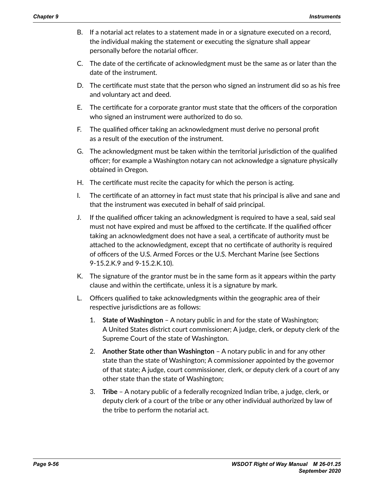- B. If a notarial act relates to a statement made in or a signature executed on a record, the individual making the statement or executing the signature shall appear personally before the notarial officer.
- C. The date of the certificate of acknowledgment must be the same as or later than the date of the instrument.
- D. The certificate must state that the person who signed an instrument did so as his free and voluntary act and deed.
- E. The certificate for a corporate grantor must state that the officers of the corporation who signed an instrument were authorized to do so.
- F. The qualified officer taking an acknowledgment must derive no personal profit as a result of the execution of the instrument.
- G. The acknowledgment must be taken within the territorial jurisdiction of the qualified officer; for example a Washington notary can not acknowledge a signature physically obtained in Oregon.
- H. The certificate must recite the capacity for which the person is acting.
- I. The certificate of an attorney in fact must state that his principal is alive and sane and that the instrument was executed in behalf of said principal.
- J. If the qualified officer taking an acknowledgment is required to have a seal, said seal must not have expired and must be affixed to the certificate. If the qualified officer taking an acknowledgment does not have a seal, a certificate of authority must be attached to the acknowledgment, except that no certificate of authority is required of officers of the U.S. Armed Forces or the U.S. Merchant Marine (see Sections 9-15.2.K.9 and 9-15.2.K.10).
- K. The signature of the grantor must be in the same form as it appears within the party clause and within the certificate, unless it is a signature by mark.
- L. Officers qualified to take acknowledgments within the geographic area of their respective jurisdictions are as follows:
	- 1. **State of Washington**  A notary public in and for the state of Washington; A United States district court commissioner; A judge, clerk, or deputy clerk of the Supreme Court of the state of Washington.
	- 2. **Another State other than Washington**  A notary public in and for any other state than the state of Washington; A commissioner appointed by the governor of that state; A judge, court commissioner, clerk, or deputy clerk of a court of any other state than the state of Washington;
	- 3. **Tribe**  A notary public of a federally recognized Indian tribe, a judge, clerk, or deputy clerk of a court of the tribe or any other individual authorized by law of the tribe to perform the notarial act.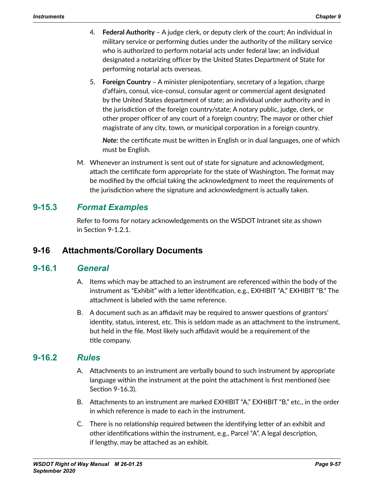- 4. **Federal Authority**  A judge clerk, or deputy clerk of the court; An individual in military service or performing duties under the authority of the military service who is authorized to perform notarial acts under federal law; an individual designated a notarizing officer by the United States Department of State for performing notarial acts overseas.
- 5. **Foreign Country**  A minister plenipotentiary, secretary of a legation, charge d'affairs, consul, vice-consul, consular agent or commercial agent designated by the United States department of state; an individual under authority and in the jurisdiction of the foreign country/state; A notary public, judge, clerk, or other proper officer of any court of a foreign country; The mayor or other chief magistrate of any city, town, or municipal corporation in a foreign country.

*Note:* the certificate must be written in English or in dual languages, one of which must be English.

M. Whenever an instrument is sent out of state for signature and acknowledgment, attach the certificate form appropriate for the state of Washington. The format may be modified by the official taking the acknowledgment to meet the requirements of the jurisdiction where the signature and acknowledgment is actually taken.

# **9-15.3** *Format Examples*

<span id="page-56-0"></span>Refer to forms for notary acknowledgements on the WSDOT Intranet site as shown in Section 9-1.2.1.

# **9-16 Attachments/Corollary Documents**

#### **9-16.1** *General*

- A. Items which may be attached to an instrument are referenced within the body of the instrument as "Exhibit" with a letter identification, e.g., EXHIBIT "A," EXHIBIT "B." The attachment is labeled with the same reference.
- B. A document such as an affidavit may be required to answer questions of grantors' identity, status, interest, etc. This is seldom made as an attachment to the instrument, but held in the file. Most likely such affidavit would be a requirement of the title company.

#### **9-16.2** *Rules*

- A. Attachments to an instrument are verbally bound to such instrument by appropriate language within the instrument at the point the attachment is first mentioned (see Section 9-16.3).
- B. Attachments to an instrument are marked EXHIBIT "A," EXHIBIT "B," etc., in the order in which reference is made to each in the instrument.
- C. There is no relationship required between the identifying letter of an exhibit and other identifications within the instrument, e.g., Parcel "A". A legal description, if lengthy, may be attached as an exhibit.